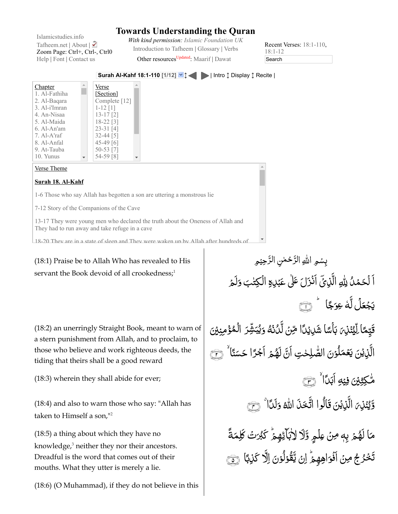## **Towards Understanding the Quran**

*With kind permission: [Islamic Foundation UK](http://www.islamic-foundation.com/)*

[Islamicstudies.info](http://www.islamicstudies.info/) [Tafheem.net](http://www.tafheem.net/) | [About](javascript:void 0)  $\vert \nabla$ Zoom Page: Ctrl+, Ctrl-, Ctrl0 [Help](http://islamicstudies.info/tafheem-display-help.png) | [Font](http://islamicstudies.info/fonts/PDMS_SALEEM_QURANFONTQESHIP_0.ttf) | [Contact us](javascript:void 0)

[Introduction to Tafheem](http://www.islamicstudies.info/quran/tafheem/tafheemintroduction.php) | [Glossary](http://www.islamicstudies.info/glossary/glossary-of-quran.php) | [Verbs](http://www.islamicstudies.info/grammar/verb-concordance.php) Other resources<sup>Updated</sup>: [Maarif](https://islamicstudies.info/quran/maarif/maarif.php?sura=18&verse=1&to=110) | [Dawat](https://islamicstudies.info/quran/dawat/?sura=18&verse=1)

Recent Verses: [18:1-110](http://www.islamicstudies.info/tafheem.php?sura=18&verse=1&to=110), [18:1-12](http://www.islamicstudies.info/tafheem.php?sura=18&verse=1&to=12) Search

> ییم<br>ت ِّي َق

## **Surah Al-Kahf 18:1-110 [1/12] <sup>★</sup> ↓** Intro ↓ Display ↓ Recite | (18:1) Praise be to Allah Who has revealed to His servant the Book devoid of all crookedness; 1 بِسْمِ اللهِ الزَّحْمٰنِ الزَّحِيْمِ اً لَحَمۡلُ لِلّٰهِ الَّذِىٰٓ اَنۡزَلَ عَلٰى عَبۡلِہِ الۡكِتٰبَ وَلَمۡ بوَجًا ٔ<br>بو ِ<br>لُمَ عِ يَجْعَلُ لَّهُ (18:2) an unerringly Straight Book, meant to warn of a stern punishment from Allah, and to proclaim, to those who believe and work righteous deeds, the tiding that theirs shall be a good reward ثِّبرَ الْمُؤْمِنِينَ<br>" وِ<br>لِيَكِنَّةِ نَٰ لَّكُنۡهُ وَيُّبَ متِرْ ىَ <mark>بَأْسًا شَ</mark>رِيْدًا مِّ مَّا لِّيُنۡنِ*ٰنَ* بَأۡ الَّٰزِيۡنَ يَعۡمَلُوۡنَ الصَّٰلِحٰتِ اَنَّ لَهُمۡ اَجۡرًا حَسَنًا ۚ ۞  $(18:3)$  wherein they shall abide for ever; ِه َا ) وَ*يَ*ّ ِ<br>بُز*ن* فِ مُّٰكِثِيْنَ<br>مُ (18:4) and also to warn those who say: "Allah has taken to Himself a son," 2 َّوَيُّنۡنِيَ الَّذِيۡنَ قَالُوا اتَّخَذَ اللهُ وَلَدًا ۚ ۞ (18:5) a thing about which they have no knowledge, <sup>3</sup> neither they nor their ancestors. Dreadful is the word that comes out of their mouths. What they utter is merely a lie. تُلِمَةَ<br>أ نۡ عِلۡمِ وَّلَا لِأَبَأَنِّهِمۡ كَبُرَتۡ كَلِ مَا لَهُمۡ بِهٖ مِنۡ <sub>ِ)</sub> اِلَّا كَنِبًا ۞ ِّ إِنۡ يُقۡوَلُوۡنَ <sub>ِ:</sub>اهِهِمَّ اِ م مِنۡ أَفۡوَ<br>ٰ تَخَرُجُ (18:6) (O Muhammad), if they do not believe in this **Chapter** [1. Al-Fathiha](https://www.islamicstudies.info/tafheem.php?sura=1) [2. Al-Baqara](https://www.islamicstudies.info/tafheem.php?sura=2) [3. Al-i'Imran](https://www.islamicstudies.info/tafheem.php?sura=3) [4. An-Nisaa](https://www.islamicstudies.info/tafheem.php?sura=4) [5. Al-Maida](https://www.islamicstudies.info/tafheem.php?sura=5) [6. Al-An'am](https://www.islamicstudies.info/tafheem.php?sura=6) [7. Al-A'raf](https://www.islamicstudies.info/tafheem.php?sura=7) [8. Al-Anfal](https://www.islamicstudies.info/tafheem.php?sura=8) [9. At-Tauba](https://www.islamicstudies.info/tafheem.php?sura=9) [10. Yunus](https://www.islamicstudies.info/tafheem.php?sura=10) Verse [Section] [Complete \[12\]](https://www.islamicstudies.info/tafheem.php?sura=18&verse=1&to=110) [1-12 \[1\]](https://www.islamicstudies.info/tafheem.php?sura=18&verse=1&to=12) [13-17 \[2\]](https://www.islamicstudies.info/tafheem.php?sura=18&verse=13&to=17) [18-22 \[3\]](https://www.islamicstudies.info/tafheem.php?sura=18&verse=18&to=22) [23-31 \[4\]](https://www.islamicstudies.info/tafheem.php?sura=18&verse=23&to=31) [32-44 \[5\]](https://www.islamicstudies.info/tafheem.php?sura=18&verse=32&to=44) [45-49 \[6\]](https://www.islamicstudies.info/tafheem.php?sura=18&verse=45&to=49) [50-53 \[7\]](https://www.islamicstudies.info/tafheem.php?sura=18&verse=50&to=53) [54-59 \[8\]](https://www.islamicstudies.info/tafheem.php?sura=18&verse=54&to=59) Verse Theme **Surah 18. Al-Kahf** 1-6 [Those who say Allah has begotten a son are uttering a monstrous lie](https://www.islamicstudies.info/tafheem.php?sura=18&verse=1&to=6) 7-12 [Story of the Companions of the Cave](https://www.islamicstudies.info/tafheem.php?sura=18&verse=7&to=12) 13-17 [They were young men who declared the truth about the Oneness of Allah and](https://www.islamicstudies.info/tafheem.php?sura=18&verse=13&to=17) They had to run away and take refuge in a cave 18-20 They are in a state of sleep and They were waken up by Allah after [hundreds](https://www.islamicstudies.info/tafheem.php?sura=18&verse=18&to=20) of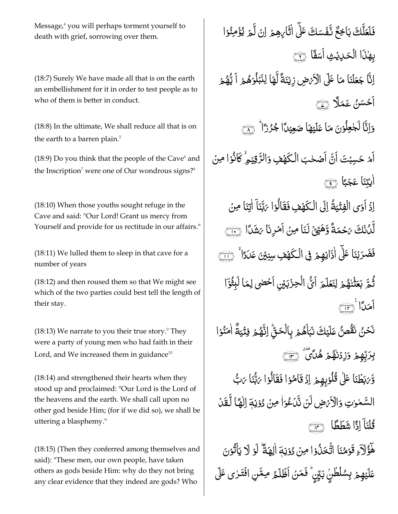Message, <sup>4</sup> you will perhaps torment yourself to death with grief, sorrowing over them.

(18:7) Surely We have made all that is on the earth an embellishment for it in order to test people as to who of them is better in conduct.

(18:8) In the ultimate, We shall reduce all that is on the earth to a barren plain.<sup>5</sup>

 $(18.9)$  Do you think that the people of the Cave<sup>6</sup> and the Inscription<sup>7</sup> were one of Our wondrous signs?<sup>8</sup>

(18:10) When those youths sought refuge in the Cave and said: "Our Lord! Grant us mercy from Yourself and provide for us rectitude in our affairs."

(18:11) We lulled them to sleep in that cave for a number of years

(18:12) and then roused them so that We might see which of the two parties could best tell the length of their stay.

(18:13) We narrate to you their true story. $9$  They were a party of young men who had faith in their Lord, and We increased them in guidance $10$ 

(18:14) and strengthened their hearts when they stood up and proclaimed: "Our Lord is the Lord of the heavens and the earth. We shall call upon no other god beside Him; (for if we did so), we shall be uttering a blasphemy."

(18:15) (Then they conferred among themselves and said): "These men, our own people, have taken others as gods beside Him: why do they not bring any clear evidence that they indeed are gods? Who

نُ لَّٰهُ يُؤْمِنُوۡۤا السنجاني<br>ن ِا فَلَعَلَّكَ بَاخِحٌ ثَّفۡسَكَ عَلَى اٰثَارِهِمۡ بِهٰذَا الْحَـٰدِيـۡثِ اَسَفًا ۞ ) لِنَبۡلُوَهُمۡ أَ يُّهُمۡ اِنَّا جَعَلْنَا مَا عَلَى الْأَنْهِضِ زِيْنَةً لَّهَا لِ اَحۡسَنُ عَمَلًا ۞ <sub>َ</sub><br>سَعِيْدًا لَجُرُزًا ۚ ۞ ِ<br>صَبِع لَجْعِلُوْنَ مَا عَلَيْهَا صَ ٰج ِاَّنا َل َو ي<sub>ْعِر</sub>ُّ كَانُوۡا مِنۡ روي اَمۡ حَسِبۡتَ اَنَّ اَصۡحٰبَ الۡكَهۡفِ وَالرَّقِ ا<br>ايتِنَا عَجَبًا ۞ ِت ٰي ٰا ۡن اِم َن اِذُ اَوَى الْفِتُيَةُ إِلَى الْكَهْفِ فَقَالُوْا يَهَّنَا اٰتِي مَ<sub>يِّخْ</sub> لَـنَا مِنُ اَمْرِنَا <sub>كَ</sub>شَدًا ﴿ لَّكُنۡكَ *بَ*حۡمَةً وَّهَيِّ فَضَرَبُنَا عَلَىٰ اٰذَانِهِمۡ فِى الۡكَهۡفِ سِنِيۡنَ عَدَدًا ۚ ۞ ِ لِنَعۡلَمَ اَئٌ الۡحِزۡبَيۡنِ اَحۡضَى لِمَا لَبِثُوۡٓا ِ<br>هُ لِ ثُمَّ*رَ بَعَثَّنٰهُم*َّ اَمَدًا ٔ <sub>ن</sub>ةُ اٰمَنُوۡا َي ۡت ِف ُه ۡم نَاَهُمۡ بِاَلۡحَقّٰٓ اِنَّ نَّ*حَنُ* نَقُّص*ُّ عَلَ*يۡكَ نَبَ*ّ* بِرَبِّهِيَّ وَزِدۡنٰهُيۡ هُلَّىٰ ٣ ِب اِذۡ قَامُوۡا فَقَالُوۡا يَابُّنَا يَكُّ َّوَّىَكِطُنَا عَلَىٰ قُلُوۡبِهِيَّ ة اِلٰهًا لَّقَدُ ٖۤه ر<br>ڏوُني اْ مِنۡ دُوۡ السَّمْوٰتِ وَالْأَنْهَضِ لَنۡ ثَّلۡكُوۡ ًذاَشَطًطا **ُ**قُلۡنَاۤ َاِ ُهَةً <sup>لَ</sup>وَ لَا يَأْتُوْنَ<br>\* دُوۡنِهٖٓ اٰلِ هٰٓؤُلاَءِ قَوۡمُنَا اتَّخَذُوۡا مِنۡ دُوۡ هْ بِسُلْطٰنٍٰ بَيِّنٍ ؕ فَمَنۡ اَظۡلَمْ مِمَّنِ افۡتَـٰزى عَلَى <u>ل</u><br>أ ِ<br>ٻئر ب ۡم ِه عَلَيۡ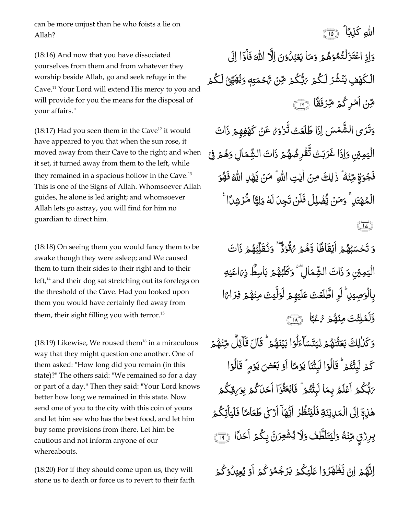can be more unjust than he who foists a lie on  $\overline{a}$   $\overline{a}$ 

(18:16) And now that you have dissociated yourselves from them and from whatever they worship beside Allah, go and seek refuge in the Cave. <sup>11</sup> Your Lord will extend His mercy to you and will provide for you the means for the disposal of your affairs."

 $(18:17)$  Had you seen them in the Cave<sup>12</sup> it would have appeared to you that when the sun rose, it moved away from their Cave to the right; and when it set, it turned away from them to the left, while they remained in a spacious hollow in the Cave.<sup>13</sup> This is one of the Signs of Allah. Whomsoever Allah guides, he alone is led aright; and whomsoever Allah lets go astray, you will find for him no guardian to direct him.

(18:18) On seeing them you would fancy them to be awake though they were asleep; and We caused them to turn their sides to their right and to their left, <sup>14</sup> and their dog sat stretching out its forelegs on the threshold of the Cave. Had you looked upon them you would have certainly fled away from them, their sight filling you with terror. 15

(18:19) Likewise, We roused them<sup>16</sup> in a miraculous way that they might question one another. One of them asked: "How long did you remain (in this state)?" The others said: "We remained so for a day or part of a day." Then they said: "Your Lord knows better how long we remained in this state. Now send one of you to the city with this coin of yours and let him see who has the best food, and let him buy some provisions from there. Let him be cautious and not inform anyone of our whereabouts.

(18:20) For if they should come upon us, they will stone us to death or force us to revert to their faith

اللهَ <mark>فَأَدَّا إِلَى</mark> ا ِااَّل وَاذِ اعۡتَزَلۡتُمۡوۡهُمۡ وَمَاۤ يَعۡبُلُوۡنَ }<sub>َ</sub>يِّئۡ لَـكُمۡ ِّينَ سَّحَمَتِهٖ وَيُُهَيِّ الۡكَهۡفِ يَنۡشُرۡ لَكُمۡ *بَ*ّبُكُمۡ مِّ ِّرْفَقًا ۞ هِّنۡنَ أَمۡنُرِكُمۡ ِّم وَتَرَى الشَّمۡسَ اِذَا طَلَعَتۡ تَّرٰوَحْ عَنۡ كَهُفِهِمۡ ذَاتَ َالِزَا غَرَبَتۡ تَّقۡرِضُهُمۡ ذَاتَ الشِّمَالِ وَهُمۡ فِیۡ <u>مِ</u>يْنِ <mark>دَ</mark> َي الً لله **ذَهُ**دَ مِّنۡهُ ۚ ذٰ لِكَ مِنۡ اٰيٰتِ اللّٰهِ ۚ مَنۡ يَّهۡنِ اللّٰهُ ٍة ِّم فَجُوَ وَلِيًّا مُّرۡشِدًا ،<br>ئے ورا الْمُهْتَلِّ وَمَنۡ يُّضۡلِلۡ فَلَنۡ تَجِدَ لَهٗ وَ  $\widehat{\mathbb{Z}}$ 

اللهِ كَ<mark>ز</mark>بَّ

قَلِّبُهُمۡ ذَاتَ<br>ٌ وَ تَحۡسَبُهُمۡ اَيۡقَاظًا وَّهُمۡ  $\sqrt[6]{2}$ ٌ وَنُقَلِّ بَاسِطٌ ذِىَاعَيۡهِ هِيْنِ وَ ذَاتَ الشِّمَالِ ۖ وَكَلَّبُهُمْ بَ<sub>ّ</sub> َي الً ا ا<br>برا فزا لَوَلَّيۡتَ مِنۡهُمۡ فِ َو َل ۡم ِه ِ بِالْوَصِيۡلِ ۚ لَوِ اطَّلَعۡتَ عَلَيۡ لَمُلِئۡتَ مِنۡهُمۡ مُعۡبًا ۚ <u>(٨</u>) ُم َّوَل بَاءَلُوۡا بَيۡنَهُمۡ ؕ قَالَ قَائِلٌ مِّنۡهُمۡ رُ لِيَتَنْسَ<sub>ّ</sub> ِ<br>پريل وَكَلْلِكَ بَعَثَٰنُهُمُ كَمۡ لَبِثۡتُمۡ ۚ قَالُوۡا لَبِثۡنَا يَوۡمَاۚ أَوۡ بَعۡضَ يَوۡمٍ ۚ قَالُوۡا ڸ<sup>ۣ</sup>ڔ؆ۣ<mark>ڐ</mark>ۣػ۠ۮ ر<br>گڼ ب بِمَا لَبِثۡتُمۡ ۚ فَاَبۡعَثُوۡٓ اَ اَحَدَكُمۡ ِب ِّبَكُّهُ أَعۡلَمُ لْهٰلِهَم لِلَى الْمَلِيْنَةِ فَلْيَنُظُرُ اَيُّهَآ اَرْكَٰى طَعَامًا فَلْيَأْتِكُمۡ  $\sim$ بِرِزْقٍ هِّنْهُ وَلْيَتَلَطَّفْ وَلَا يُشْعِرَنَّ بِكُمْ أَحَدًا (١٥

ؽ۠<del>ۼ</del>ؿڵؙۯۘڴؽ ِ<br>رُ ڀُ<del>و</del> ِ اِنۡ يَّظۡلَهَرُوۡا عَلَيۡكُمۡ يَرۡلَحۡهُوۡكُمۡ اَوۡ يُٰ ِا م<br>م<br>م ِاَّن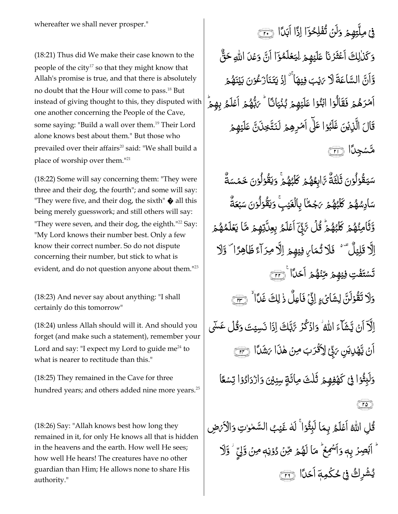whereafter we shall never prosper."

(18:21) Thus did We make their case known to the people of the city<sup>17</sup> so that they might know that Allah's promise is true, and that there is absolutely no doubt that the Hour will come to pass. <sup>18</sup> But instead of giving thought to this, they disputed with one another concerning the People of the Cave, some saying: "Build a wall over them. <sup>19</sup> Their Lord alone knows best about them." But those who prevailed over their affairs <sup>20</sup> said: "We shall build a place of worship over them." 21

(18:22) Some will say concerning them: "They were three and their dog, the fourth"; and some will say: "They were five, and their dog, the sixth"  $\bullet$  all this being merely guesswork; and still others will say: "They were seven, and their dog, the eighth."<sup>22</sup> Say: "My Lord knows their number best. Only a few know their correct number. So do not dispute concerning their number, but stick to what is evident, and do not question anyone about them." 23

(18:23) And never say about anything: "I shall certainly do this tomorrow"

(18:24) unless Allah should will it. And should you forget (and make such a statement), remember your Lord and say: "I expect my Lord to guide me $^{24}$  to what is nearer to rectitude than this."

(18:25) They remained in the Cave for three hundred years; and others added nine more years.<sup>25</sup>

(18:26) Say: "Allah knows best how long they remained in it, for only He knows all that is hidden in the heavens and the earth. How well He sees; how well He hears! The creatures have no other guardian than Him; He allows none to share His authority."

ِ وَلَنۡ تُفۡلِحُوۡٓا إِذًّا اَبَىٰٓا ۚ ۞ فِيۡ مِلِّتِهِمۡ وَ رَٰ لِيَعۡلَمُوۡٓا اَنَّ وَعۡلَ اللّٰہِ حَقٌّ ـ ِيزا ۡم ِه وَكَلْلِكَ أَعْثَرُنَا عَلَيْهِ ، فِيْهَاَ ۗ ۚ إِذۡ يَتَنَازَعُوۡنَ بَيۡنَهُمۡ <u>د</u> ِ<br>بُ فِ َّ اَنَّ السَّاعَةُ لَا يَيْبَهِ <sup>ا</sup>رُ بِهِمَّ بَاثًا ؕ يَبُّهُمۡ أَعۡلَمُ َي ۡم ُب ۡن ِه اَمۡرَهُمۡ فَقَالُوۡا ابۡنُوۡا عَلَيۡ ۡم ِه َقَالَ الَّذِيۡنَ غَلَبُوۡا عَلَٰٓ اَصۡرِهِمۡ لَنَتَّخِذَنَنَّ عَلَيۡ َمَّسْجِلًا ۞

سَيَقُّوۡلُوۡنَ ثَلٰثَةٌ رَّاابِعُهُمۡ كَلَبُهُمۡ ۚ وَيَقُوۡلُوۡنَ خَمۡسَةٌ ـ ادِسُهُمۡ كَلۡبُهُمۡ يَجۡمَۢاۢ بِالۡغَيۡبِۨ وَيَقُوۡلُوۡنَ سَبۡعَةٌ اِد َس رُ بِعِلَّڌِهِمۡ مَّا يَعۡلَمُهُمۡ َّ قَامِنُهُمۡ كَلَّبُهُمۡ قُلۡ تَّرِّقَ أَعۡلَمُ يرَ آءً ظَاهِرًا ؓ وَّلَا ِالَّا مِ ۡم ِه <sub>يا</sub> وي<sub>چ</sub>ُ ِالَّا قَلِيۡلٌ ۗ ۚ فَلَا تُمَاٰىِ فِ تِّنْهُمْ أَحَدًا <sup>ْ</sup>َ نَبَيْ ِّم ۡم ِه ، وي<sub>چ</sub> تَسۡتَفۡتِ فِـ وَلَا تَقُوۡلَنَّ لِشَاىَءٍ إِنِّيۡ فَاعِلٌ ذٰ لِكَ غَدَا ۚ ﴿ ُّ وَاذۡكُرۡ تَّابَّكَ اِذَا نَسِيۡتَ وَقُلۡ عَسۡم ُهّٰلل الَّآ اَنۡ يَّشَآءَ ا ِ مِنْ هٰذَا يَشَدًا ۞ َ أَنۡ يَّهۡلِايَنِ رَبِّیۡ لِاَقۡدَلِ تِسُعًا<br>ِ َوَلَبِثُوۡٓا فِیۡ کَهۡفِهِمۡ ثَلۡثَ مِائَةٍ سِنِیۡنَ وَارۡدَادُوۡا تِّ  $\sim$ <sub>َ</sub> السَّمٰوٰتِ وَالْأَيْرَضِ بِمَا لَبِثُوَا ۚ لَهُ غَيۡبُ ِب ءُ أَعۡلَمُ<br>ٰ مُّلِ اللَّه دُوۡنِهٖ مِنۡ وَّلِيَّ ٰ وَّلَا مَثِنُ دُوُّ ِّم شَمِعُ ۚ مَا لَهُمۡ َ اَبۡصِرۡ بِهٖ وَاَ<sup>سۡم</sup>ِ يُشُرِكُ فِي حُكْمِهَ أَحَدًا  $\overline{\mathbb{T}^2}$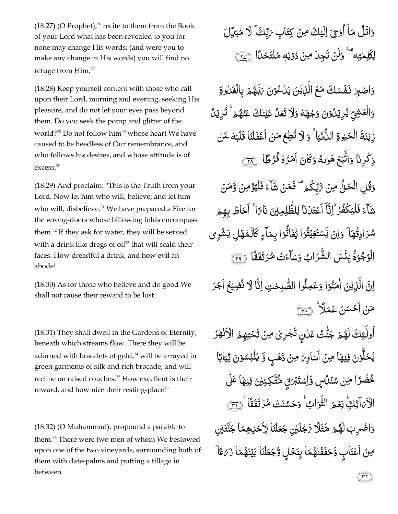$(18:27)$  (O Prophet),<sup>26</sup> recite to them from the Book of your Lord what has been revealed to you for none may change His words; (and were you to make any change in His words) you will find no refuge from Him.<sup>27</sup>

(18:28) Keep yourself content with those who call upon their Lord, morning and evening, seeking His pleasure, and do not let your eyes pass beyond them. Do you seek the pomp and glitter of the world?<sup>28</sup> Do not follow him<sup>29</sup> whose heart We have caused to be heedless of Our remembrance, and who follows his desires, and whose attitude is of excess. 30

(18:29) And proclaim: "This is the Truth from your Lord. Now let him who will, believe; and let him who will, disbelieve. <sup>31</sup> We have prepared a Fire for the wrong-doers whose billowing folds encompass them.<sup>32</sup> If they ask for water, they will be served with a drink like dregs of oil<sup>33</sup> that will scald their faces. How dreadful a drink, and how evil an abode!

(18:30) As for those who believe and do good We shall not cause their reward to be lost.

(18:31) They shall dwell in the Gardens of Eternity, beneath which streams flow. There they will be adorned with bracelets of gold, <sup>34</sup> will be arrayed in green garments of silk and rich brocade, and will recline on raised couches. <sup>35</sup> How excellent is their reward, and how nice their resting-place!"

(18:32) (O Muhammad), propound a parable to them.<sup>36</sup> There were two men of whom We bestowed upon one of the two vineyards, surrounding both of them with date-palms and putting a tillage in between.

ليا*ل*َ ِّد ُم َب نَ كِتَابِ <sub>كَيِ</sub>ّلِكَ ۚ لَا ِينُ کِر <sub>َ</sub> اِلَيۡكَ مِنۡ دَاتُلُ مَآ أَوۡحِیَ <sub>َ</sub> مُلْتَحَلَّا (72 ٖه ِن ْ وَلَنۡ تَجِد<sub>َ</sub> مِنۡ <sub>دُوۡ</sub> له تق<sup>ة</sup> وَ<br>له تله لِم*َد* ِل َك ِل

َوَاصۡبِرۡ نَفۡسَكَ مَحَ الَّذِيۡنَ يَدۡكُوۡنَ يَهَٰهُمۡ بِالۡغَالِوَةِ َ وَالْعَشِيِّ يُرِيۡلُوۡنَ وَجۡهَٰهٗ وَلَا تَعۡلُ عَيۡنَكَ عَنۡهُمۡ ۚ تُٰٓرِيۡلُ اً ۚ وَ لَا تُُطِعُ مَنۡ اَغۡفَلۡنَا قَلۡبَتۢ عَنۡ و<mark>قِ</mark> اللُّنۡيَ زِيۡنَةَ الۡحَيۡا هَوْلُهُ وَكَانَ أَمْرُةُ فُرُطًا ۚ <u>لَهُ</u>مَ ذِكُرِنَا وَاتَّبَعَ هَوْ وَقُٰلِ الۡحَنُّ مِنۡ  $\mathbb{J}$ رِّكۡ فَمَنۡ شَآءَ فَلۡيُؤۡمِنۡ وَّمَنۡ ـ اُ ۚ اَحَاطَ بِهِمۡ بائر<br>با شَاءَ فَلَيَكُفُرُ ۙالنَّآ اَعۡتَدۡنَاۤ لِلظَّٰلِمِيۡنَ نَاۤ سُتَغِيْثُوْا يُغَاثُوْا بِمَآءٍ كَالْمُهْلِ يَشُوِى رَا<sub>ِ</sub>نۡ يَّىسُتَهَ ِا سُّرَادِقُهَا ۖ وَ لْوَجُوْةً بِئُسَ الشَّرَابُ وَسَاءَتْ مُرْتَفَقًا ۚ لَمَبَ الً َ اِنَّ الَّذِيْنَ اٰمَنُوۡا وَعَمِلُوا الصَّلِحٰتِ اِنَّاۤ لَا نُثْضِيۡعُ اَجۡرَ مَنْ أَحۡسَنَ عَمَلاً ۚ ۞ هِمُ الْأَنْه*ٰرُ* تَحْتِهِ اُولَٰٓئِكَ لَهُمۡ جَنّٰٮٰٮ ۚ عَدۡنٍ تَجۡرِىۡ مِنۡ تَدۡ ژ*یا*بًا ) لِيَ*ـَ* و<br>ژن <u>ژ</u> <sub>َ</sub> مِنۡ ذَهَبٍ وَّ يَلۡبَسُوۡنَ َر اِو <sub>َ</sub> فِي<sub>ْ</sub>هَا مِنْ اَسَ ِف و *ق* َّل ي*ُ*حَ <sub>َ</sub> فِيَهَا عَلَى ِ<br>بُزِرَ<sub>ٌ</sub> فِ يم<u>ل</u>ين<br>م رَقٍ مُّتَّكِئ<sub>ُ</sub> ن وَّارِسُتَّڊَرَ<br>س مِّنۡنَ سُنۡنُ سِ <mark>وَّا</mark> ِّم ا ُخۡضًر .<br>اُ وَحَسُنَتۡ مُّرۡتَفَقَّا ۚ ﴿ ٱ نو اب<br> ا تنو<br>ٌ بَر الثَّ ًا لِغُم*َ*<br>ا ال*أن*آئِكِ ٰ َ وَاضۡرِبُ لَهُمۡ مَّثَلًا تَّجُلَيۡنِ جَعَلۡنَا لِأَحَابِهِمَا جَنَّتَيۡنِ َّ مِنۡ اَعۡنَابٍ وَّحَفَفۡنٰهُمَا بِنَحۡلٍ وَّجَعَلۡنَا بَيۡنَهُمَا زَىۡهَآ

سيسي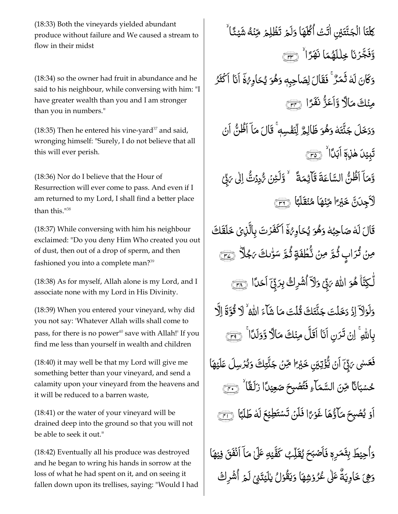(18:33) Both the vineyards yielded abundant produce without failure and We caused a stream to flow in their midst

(18:34) so the owner had fruit in abundance and he said to his neighbour, while conversing with him: "I have greater wealth than you and I am stronger than you in numbers."

(18:35) Then he entered his vine-yard<sup>37</sup> and said, wronging himself: "Surely, I do not believe that all this will ever perish.

(18:36) Nor do I believe that the Hour of Resurrection will ever come to pass. And even if I am returned to my Lord, I shall find a better place than this." 38

(18:37) While conversing with him his neighbour exclaimed: "Do you deny Him Who created you out of dust, then out of a drop of sperm, and then fashioned you into a complete man? 39

(18:38) As for myself, Allah alone is my Lord, and I associate none with my Lord in His Divinity.

(18:39) When you entered your vineyard, why did you not say: 'Whatever Allah wills shall come to pass, for there is no power <sup>40</sup> save with Allah!' If you find me less than yourself in wealth and children

(18:40) it may well be that my Lord will give me something better than your vineyard, and send a calamity upon your vineyard from the heavens and it will be reduced to a barren waste,

(18:41) or the water of your vineyard will be drained deep into the ground so that you will not be able to seek it out."

(18:42) Eventually all his produce was destroyed and he began to wring his hands in sorrow at the loss of what he had spent on it, and on seeing it fallen down upon its trellises, saying: "Would I had

، شَيۡثَنَا ُ<br>` .<br>-َش ۡن ُه ِّم كِلْتَا الْجَنَّتَيْنِ اٰتَتۡ اُكْلَهَا وَلَمۡ تَظۡلِمۡ وَّفَجَّرُنَا خِلْلَهُمَا نَهَرًا ۚ ﴿ ا<br>-ةً أَنَا أَكْثَرُ<br>\* ُر َ لِصَاحِبِهٖ وَهُوَ يُحَاوِ ِ<br>پريا وَكَانَ لَهُ ثَمَرٌ ۚ فَقَالَ مِنۡكَ مَالَا وَّاَعَزُّ نَفَرًا ۞ رَّ لِّنَفُسِهٖ ۚ قَالَ مَاۤ اَظُنُّ اَنۡ ہِ<br>ہُ لِ ٌم َظاِل وَدَخَلَ جَنُّتَهُ وَهُوَ تَبِيْدَ هٰذِمَّ أَبَدًا ۖ رَ<u>مَ</u> <sub>َ</sub> رِدَ<sup>ن</sup>ُّ اِلٰی <sub>کَا</sub>لِّیْ ہ<br>بِن ٿو َوَّمَاً اَظُنُّ السَّاعَةَ قَالِّمَةً ۚ وَلَئِ ا ًب ُمۡن َقَل ا ۡن َه ِّم ا لأجِدَانَّ خَيْرَ *ً* وِهْلَا اكْفَرْتَ بِالَّذِيۡ خَلَقَكَ َقَالَ لَهُ صَاحِبُهُ وَهُوَ يُحَاوِ َمِنۡ تُرَابٍ ثُمَّ مِنۡ نُّطۡفَةٍ ثُمَّ سَوَّىكَ 75 \$ َاللّٰہُ يَٰٓبِّيۡ وَلَآ أَشۡوِكَ بِرَبِّيۡ اَحَدًا ۞ لَّكِنَّاْ هُوَ<br>ـ الله ؒ ل<mark>ا قُوَّةَ</mark> اِلَّا وَلَوْلاَ إِذْ دَخَلْتَ جَنَّتَكَ قُلْتَ مَا شَأَءَ ا ً اِنْ تَرَنِ اَنَا اَقَلَّ مِنْكَ مَالًا وَّوَلَدًا ۚ ﴿ وَلَيْسَ الْمَجْمَعِينَ ۖ وَلَيْسَ ِبِاللّٰهِ ۚ اِ ِنۡ جَنَّتِكَ وَيُرۡسِلَ عَلَيۡهَا ِّم ا فَعَسٰى يَرَكِّحَ أَنۡ يُّؤۡتِيۡنِ خَيۡرَ سَعِيْدًا زَلَقًا ۚ ﴿ يَمْ يَقْتُلُوا ۖ يَمْ يَقْتُلُوا ۖ يَمْسَى ِ<br>صَبِع َح َص لحُسۡبَانَا مِّنَ السَّمَآءِ فَتُٰصَٰبِ بِحَ مَآؤُهَا غَوْرًا فَلَنُ تَسْتَطِيْعَ لَهُ طَلْبًا ۞ يْضَيِّ ۡو ُي َا ِقَلِّبُ كَفَّيۡهِ عَلَىٰ مَاۤ اَنۡفَقَ فِيۡهَاۚ<br>ؙ يۡطَ بِثَمَرِہٖ <mark>ذَاَ</mark>صۡبَحَ يُقَلِّ احِيْنِ ِح ُا َو وَهِيَ خَاوِيَةٌ عَلٰى عُرُوْشِهَا وَيَقُوْلُ يٰلَيۡتَنِيۡ لَمَ ٱشۡوِكَ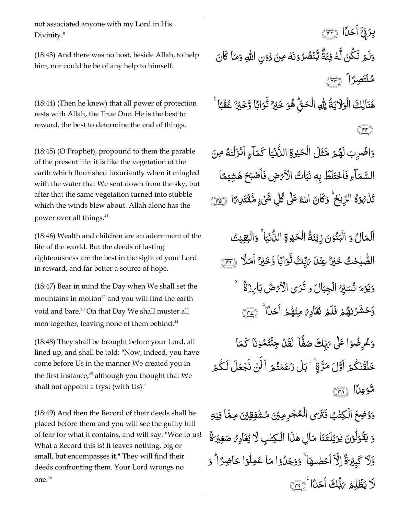(18:43) And there was no host, beside Allah, to help him, nor could he be of any help to himself.

(18:44) (Then he knew) that all power of protection rests with Allah, the True One. He is the best to reward, the best to determine the end of things.

(18:45) (O Prophet), propound to them the parable of the present life: it is like the vegetation of the earth which flourished luxuriantly when it mingled with the water that We sent down from the sky, but after that the same vegetation turned into stubble which the winds blew about. Allah alone has the power over all things. 41

(18:46) Wealth and children are an adornment of the life of the world. But the deeds of lasting righteousness are the best in the sight of your Lord in reward, and far better a source of hope.

(18:47) Bear in mind the Day when We shall set the mountains in motion <sup>42</sup> and you will find the earth void and bare. <sup>43</sup> On that Day We shall muster all men together, leaving none of them behind.<sup>44</sup>

(18:48) They shall be brought before your Lord, all lined up, and shall be told: "Now, indeed, you have come before Us in the manner We created you in the first instance, <sup>45</sup> although you thought that We shall not appoint a tryst (with Us)."

(18:49) And then the Record of their deeds shall be placed before them and you will see the guilty full of fear for what it contains, and will say: "Woe to us! What a Record this is! It leaves nothing, big or small, but encompasses it." They will find their deeds confronting them. Your Lord wrongs no one. 46

not associated anyone with my Lord in His<br>Divinity." بِرَ دِّعَ اَ وَمَا كَان<u>َ</u> لَّهُ فِئَةٌ يَّنۡصُٰرُوۡنَهٗ مِنۡ دُوۡنِ اللّٰهِ وَلَ<sub>ّهُ</sub> تَكُنُّ لَّهُ مُنۡتَصِرًا ۚ ٣ ا عف*ب*َ ثُوَابًا وَّخَب<u>ُر</u>ٌ عُقُّ َو <sub>ُنْهُتِ</sub> ژَ لۡوَلَايَةُ لِلّٰہِ الۡحَقِّٰ هُوَ خَيۡرُ ۗ<br>ا هُنَالِكَ الْ  $\widetilde{(\gamma\gamma)}$ مَزَ ِم وقِ اللُّان**ُ**يَا كَمَا<sup>ّ</sup>ءٍ اَنْزَلْنٰهُ وَاضۡمِرِبُ لَهُمۡ مَّثَلَ الۡكَيۡم ا السَّمَاْءِ فَاخْتَلَطَ بِهِ نَبَاتُ الْأَيْضِ فَأَصۡبَحَ هَشِيۡهَ <sub>)ءِ</sub> مُّقۡتَلِ*رَا* ۞ الله عَلٰی گُلِّ شَمَّ<sup>ع</sup> َ تَذَرُوهُ الرِّيْحُ ۚ وَكَانَ ا الۡبُقِيٰتُ و البا اً وَالْ وقِ اللُّ<sup>ا</sup>ن<sub>َ</sub>يَ اَلْمَالُ وَ الْبَنُوۡنَ زِيۡنَةُ الۡحَيۡلِ ـ َماًل َا ثُوَابًا وَّخَ<u>ب</u>ْرُ<sup>9</sup> َو ب<sup>َر</sup>َّ عِنۡلَ *بَ*اِّلِكَ ثَ<sup>ّ</sup> الصّْلِحْثُ خَيْرٌ بَالَ و تَرَى الْأَنْهَضَ بَابِرْنَةً ۚ وَ الَجِبَ َو*َيۡوَٰهَ ن*َسَيِّرُ وَّحَشۡرُنٰۿُمۡ فَلَمۡ نُغَاٰدِیۡ مِنۡهُمۡ اَحَدًا ۚ ۞ َوَعُرِضُوۡا عَلَىٰ يَٰتِكَ صَفَّاۤ ٰ لَقَلۡ جِئۡتُمۡوۡنَا كَمَا اً لَّنۡ تَّجۡعَلَ لَـكُمۡ خَلَقۡنٰكُمۡ اَوَّلَ مَرَّقٍ ۚ ٰ بَلۡ زَعَمۡتُمۡ اَلَّ ٿونيا آه ۡو َّم ِهِ ا قِيَّةِ شُفِقِيْنَ مِ<mark>مَّا فِ</mark> ى الْمُجۡرِمِيۡنَ مُ وَوُضِعَ الْكِتْبُ فَتَرَ فجايز<sup>ي</sup>َّ<br>أ ِغ ُر َص َ وَ يَقُوْلُوْنَ لِيَوَيُلَتَنَا مَالِ هٰذَا الْكِتْبِ لَا يُغَادِ <u>ل</u><br>-نْبِيۡرَةَۚ اِلۡلَّاۤ اَحۡصٰلَهَاۚ ۚ وَوَجَلُوۡا مَاۤ عَمِلُوۡا حَاضِرًا ؕ وَ ِب َّواَل َك لَّا يَظْلِمُ بَبُّكَ أَحَدًّا ۚ فَيَ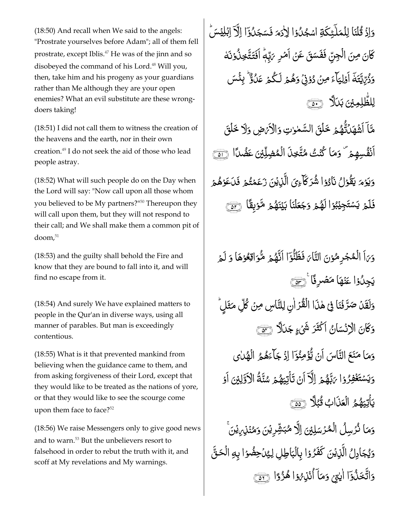(18:50) And recall when We said to the angels: "Prostrate yourselves before Adam"; all of them fell prostrate, except Iblis. <sup>47</sup> He was of the jinn and so disobeyed the command of his Lord. <sup>48</sup> Will you, then, take him and his progeny as your guardians rather than Me although they are your open enemies? What an evil substitute are these wrongdoers taking!

(18:51) I did not call them to witness the creation of the heavens and the earth, nor in their own creation. <sup>49</sup> I do not seek the aid of those who lead people astray.

(18:52) What will such people do on the Day when the Lord will say: "Now call upon all those whom you believed to be My partners?" <sup>50</sup> Thereupon they will call upon them, but they will not respond to their call; and We shall make them a common pit of  $doom<sub>1</sub>51$ 

(18:53) and the guilty shall behold the Fire and know that they are bound to fall into it, and will find no escape from it.

(18:54) And surely We have explained matters to people in the Qur'an in diverse ways, using all manner of parables. But man is exceedingly contentious.

(18:55) What is it that prevented mankind from believing when the guidance came to them, and from asking forgiveness of their Lord, except that they would like to be treated as the nations of yore, or that they would like to see the scourge come upon them face to face? 52

(18:56) We raise Messengers only to give good news and to warn. <sup>53</sup> But the unbelievers resort to falsehood in order to rebut the truth with it, and scoff at My revelations and My warnings.

اِبۡلِيۡسَ ِ<br>ابۡلِ َاذُ قُلۡنَا لِلۡمَلَّئِكَةِ اسۡجُلُوۡا لِأَهَدَ فَسَجَلُوۡٓا اِلۡلَّآ إِذۡ َو مِنَ الْجِنِّ فَفَسَقَ عَنْ اَمْرِ يَدِّمُ اَفَتَتَّخِذُونَهُ ، م<u>ر</u> َن َكا َ مِنۡ دُوۡنِیۡ وَهُمۡ لَـٰکُمۡ عَدُٰلٌ ۚ بِئۡسَ م<br>باع اوريد<br>ا ِ أَوۡرٰا دَدُّرِّيِّتَةَ أَوۡ لِلظُلِمِيْنَ بَدَلًا (٢٠ َّ أَاشُهَدَتَّهُمْ خَلْقَ السَّمٰوٰتِ وَالْأَبْرَضِ وَلَا خَلْقَ مُضِلِّيۡنَ عَضُٰلًا ۚ (۞ اَنۡفُسِهِمۡ ؒ وَمَا كُنۡثُ مُتَّخِذَ الۡهُ وَيَوۡمَ يَقُوۡلُ نَادُوۡا شُرَكَآءِىَ الَّذِيۡنَ زَعَمۡتُمۡ فَلَحَوۡهُمۡ مَّوْبِقًا (ar فَلَمۡ يَسۡتَجِيۡبُوۡا لَهُمۡ وَجَعَلۡنَا بَيۡنَهُمۡ مَّوۡ

قِعُوۡهَا وَ لَمۡ واقِ وَىَا الْمُجۡرِمُوۡنَ النَّامَ فَظَنُّوۡٓا اَنَّهُمۡ مُّوَ يَجِلُوۡl عَنۡهَا مَصۡرِفَا ۚ حَق <sub>َ</sub> مَتَلِي َوَلَقَلۡ صَرَّفۡنَا فِیۡ هٰذَا الۡقُدۡ[ٰنِ لِلنَّاسِ مِنۡ کُلِّ َجَداًل ِ<br>ُاع <sub>َمَ</sub>أَنُّ أَكْثَرَ شَيْ ا وَكَانَ الْإِنْسَ ر **الْهُ**ناي وَمَا مَنَعَ النَّاسَ اَنْ يُّؤْمِنُوَٓا اِذۡ جَآءَهُمْ َلِيۡنَ أَوۡ ر<br>دور اِلَّآ اَنۡ تَأۡتِيَهُمۡ سُنَّةُ الۡأَوَّ ِرُوۡا<sub>َ</sub> *بَ*لَّهُمۡ ۇ<sup>ي</sup>شت<del>َف</del>ْفِ نَ<sub>ا</sub>بُ قُبُلًا رَ<u>مَ</u>يَ رُ **الْعَذَا** ڷ*ۣێۿۘۮ۠* يَأْتِ *مُبَنَّةٍ وِيُنَ* وَمُنۡذ*َلِ <sub>رِ</sub>يۡنَ ۚ* ر م*ن*دً<br>. ِااَّل <u>لمِلَيْنَ</u> ِسَلِ وَمَا نُزَسِلُ الْعُزْسَ

<sub>ل</sub>ِيْدُحِضُّوۡا بِهِ الۡكَوَّ ـ اُطِلِ لِ وَيُجَادِلُ الَّذِيۡنَ كَفَرُوۡا بِالۡبَا دَاتَّخَذُوۡٓا اٰیٰتِیۡ وَمَاۤ اُنۡزِیۡوۡا هُزُوٗٓا ۚ لَتَقَ

.<br>-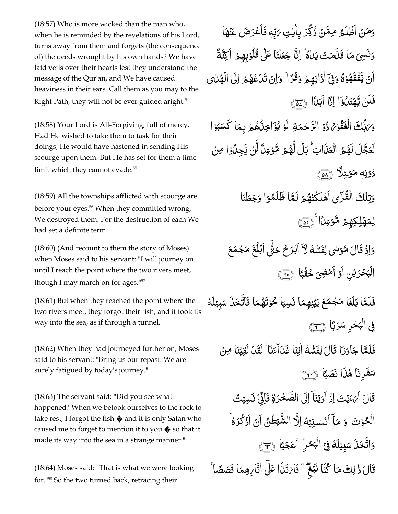(18:57) Who is more wicked than the man who, when he is reminded by the revelations of his Lord, turns away from them and forgets (the consequence of) the deeds wrought by his own hands? We have laid veils over their hearts lest they understand the message of the Qur'an, and We have caused heaviness in their ears. Call them as you may to the Right Path, they will not be ever guided aright. 54

(18:58) Your Lord is All-Forgiving, full of mercy. Had He wished to take them to task for their doings, He would have hastened in sending His scourge upon them. But He has set for them a timelimit which they cannot evade. 55

(18:59) All the townships afflicted with scourge are before your eyes. <sup>56</sup> When they committed wrong, We destroyed them. For the destruction of each We had set a definite term.

(18:60) (And recount to them the story of Moses) when Moses said to his servant: "I will journey on until I reach the point where the two rivers meet, though I may march on for ages." 57

(18:61) But when they reached the point where the two rivers meet, they forgot their fish, and it took its way into the sea, as if through a tunnel.

(18:62) When they had journeyed further on, Moses said to his servant: "Bring us our repast. We are surely fatigued by today's journey."

(18:63) The servant said: "Did you see what happened? When we betook ourselves to the rock to take rest, I forgot the fish  $\hat{\mathbf{\diamond}}$  and it is only Satan who caused me to forget to mention it to you  $\hat{\mathbf{\diamond}}$  so that it made its way into the sea in a strange manner."

(18:64) Moses said: "That is what we were looking for." <sup>58</sup> So the two turned back, retracing their

ِّكْرَ بِأَيْتِ بَ<sub>ٰ</sub>تِهٖ فَأَعْرَضَ عَنْهَا و<br>قبي ڏيو وَمَنۡ أَظَٰلَهُ مِعَّنۡ ذُ وَنَسِيَ مَا قَلَّمَتُ يَلاُهُ ۚ إِنَّا جَعَلْنَا عَلَىٰ قُلُوۡبِهِمۡ اَكِتَّةً <sub>َ</sub>زَانَ تَنۡعُهُمۡ لِلَ الۡهُاٰی ِا َ اَنۡ يَّفۡقَهُٰوۡهُۚ وَفِیۡٓ اٰذَانِهِمۡ وَقُرًا ؕ وَ َفَلَنۡ يَّهۡتَدُوۡٓا إِذَا اَبَدًا ۞ بِمَا كَسَبُوۡا َبِةً <sup>ا</sup>َوَ يُؤَاخِذُهُمۡ بِ وَبَهُّكَ الۡفَفۡوۡمُ ذُوۡ الرَّحۡمَ تَوَعِلٌ لَّنۡ يَّجِلُوۡا مِنۡ رَ الْعَذَابُ ۚ بَلْ لَّهُمۡ مَّوۡ لَعَجَّلُ لَهُمُّ دُوۡنِهٖٖٖمَوۡئِلَا ۞ ـ ڏوُ<br>ذ وَتِلْكَ الْقُرْىِ اَهۡلَكۡنٰهُمۡ لَمَّا ظَلَمُوۡا وَجَعَلۡنَا َو ِ<br>تَوۡعِدًا ۚ <mark>َهَ</mark> ِ<mark>ٖمَهۡلِكِهِمۡ</mark> مَّوۡ ِل <sub>اً</sub> حَتَّى اَبۡلُغَ مَجۡمَعَ َاِذۡ قَالَ مُوۡسٰى لِفَتْمٰهُ لَآ اَبۡرَ حُ حَ َو الۡبَحۡرَيۡنِ اَوۡ اَمۡضِیۡ حُقُبًا ۚ نَ <sub>َ</sub><br>سَنِيۡلَا بر<br>ن سَدِ بَا حُوۡتَهُمَا فَاتَّخَلَ سَ بَيۡنِهِمَا نَسِيَ فَلَمَّا بَلَغَا مَجْمَعَ بَيۡ فِي الۡبَحۡرِ سَرَبَا ۚ <del>(1</del> ُقِيۡنَا مِنۡ اٰتِنَا غَدَآءَنَا ٰ لَقَدۡ لَقِ ً لِفَتْمُهُ اٰتِ ِ<br>اِسَ لِ فَلَمَّا جَاوَزَا قَالَ سَفَرِنَا لهٰذَا نَصَبًا  $\overline{(\gamma\gamma)}$ رَةِ فَاِنِّيَّ نَسِي<sub>َتُ</sub> َقَالَ أَيَزَيْتَ إِذْ أَوَيُنَاً إِلَى الصَّخْرَ طٰنُ اَنۡ اَذۡکُرَہٗ ٗ ڵٮؿڟ ءُ اِلَّا الشَّيْ نِيۡه<del>ُ</del> لمىز الۡكُوۡتَ ٰ وَ مَاۤ اَنۡسٰ <sub>سَ</sub>بِيَلَهُ فِيَ الْبَحۡرِ ۗ عَجَبًا ۞ بر<br>ن سَدِ َس َخَذ اَّت َو َقَالَ ذٰ لِكَ مَا كُنَّا نَبُغٌ ۚ فَاَءَتَدًّا عَلَى اٰثَارِهِمَا قَصَصًا ۖ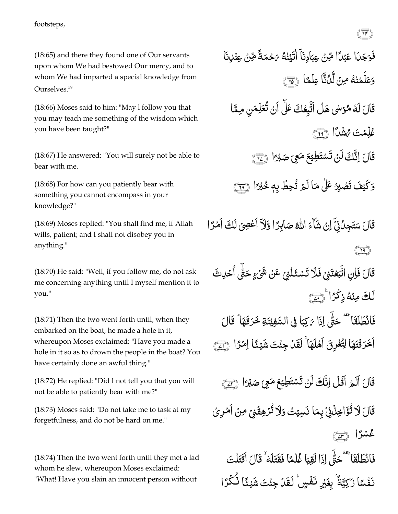footsteps,

(18:65) and there they found one of Our servants upon whom We had bestowed Our mercy, and to whom We had imparted a special knowledge from Ourselves. 59

(18:66) Moses said to him: "May l follow you that you may teach me something of the wisdom which you have been taught?"

(18:67) He answered: "You will surely not be able to bear with me.

(18:68) For how can you patiently bear with something you cannot encompass in your knowledge?"

(18:69) Moses replied: "You shall find me, if Allah wills, patient; and I shall not disobey you in anything."

(18:70) He said: "Well, if you follow me, do not ask me concerning anything until I myself mention it to you."

(18:71) Then the two went forth until, when they embarked on the boat, he made a hole in it, whereupon Moses exclaimed: "Have you made a hole in it so as to drown the people in the boat? You have certainly done an awful thing."

(18:72) He replied: "Did I not tell you that you will not be able to patiently bear with me?"

(18:73) Moses said: "Do not take me to task at my forgetfulness, and do not be hard on me."

(18:74) Then the two went forth until they met a lad whom he slew, whereupon Moses exclaimed: "What! Have you slain an innocent person without

 $\begin{pmatrix} \overline{\mathbf{u}} & \mathbf{v} \\ \mathbf{v} & \mathbf{v} \end{pmatrix}$ نُ عِ<mark>ن</mark>ُلِ<mark>نَ</mark>ا متِرْ َادِنَآ اٰتَيۡنٰهُ *نَحۡمَةً مِ*ّ َب و<br>بي چ متِرْ فَوَجَدَا عَبۡدَآا مِّ نْ لَّكُنَّا عِلْمًا ۞ ۞ <sub>َ</sub> مِنِ لْمَنْكُمُ<br>م َّل َو َع نُعَلِّمَنِ مِمَّا َ قَالَ لَهُ مُؤسٰى هَلْ اَتَّبِعُكَ عَلَّى اَنۡ تُعَ ِّطْلِمْتَ رُشُدًا (Tr ُع َقَالَ اِنَّكَ لَنْ تَسْتَطِيْعَ مَعِيَ صَبْرًا هَمَيَ ني<br>أما تقليد التقليد َ وَكَيْفَ تَصۡبِرُ عَلَىٰ مَا لَـمۡ تُحِطَٰ بِهٖ \$ صَابِرًا وَّلَآ أَعۡصِىۡ لَكَ أَمۡرًا قَالَ سَتَجِدُنِيَّ اِنۡ شَآءَ اللّٰہُ صَ  $\ket{19}$ ٍ حَتَّٰى أُحَ<sub>ٰ</sub>لِثَ ءِ حَ<br>ح ِ<br>اع َقَالَ فَإِنِ اتَّبَعُتَنِي فَلَا تَسُئَلُنِيَ عَنْ شَيْ ـ گرًا <u>ؓ ن</u> لَكَ مِنْهُ ذِكُ ةِ خَرَقَهَا ۖ قَالَ<br>ّ ِة فِيِّنَ<sup>ّ</sup> بًا فِي السَّفِ بن کہ<del>ی</del>ت<br>ا ِ<br>اس بر فَانُطَلَقَا ُ ۖ حَتَّى إِذَا يَ اَخَرَقُتَهَا لِتُغْرِقَ اَهْلَهَا ۚ لَقَدۡ جِئۡتَ شَيۡئًا اِمۡرًا ۞ .<br>-<br>-قَالَ اَلَمْ اَقُلْ اِنَّكَ لَنْ تَسْتَطِيْعَ مَعِيَ صَبْرًا (آ $\Box$ <sub>َا</sub> مِنۡ اَمۡرِیۡ من*ې* ِهِقُ بِمَا نَسِيْتُ وَلَا تُرَ َقَالَ لَا تُؤَاخِذُنِيَ بِ عُسْرًا ﴿ بَا غُلْمًا فَقَتَلَهُ ۚ قَالَ أَقَتَلَتَ ِ<br>تعي فَانُطَلَقَا ُ ۖ حَتَّى اِذَا لَقِ ا ًر  $\int \tilde{\mathcal{L}}$  زَكِيَّةً ٰ بِغَيْرِ نَفْسٍ ٰ لَقَدۡ جِئۡتَ شَيۡئًا ثُّکۡ ـ َز ا نَفۡسَّ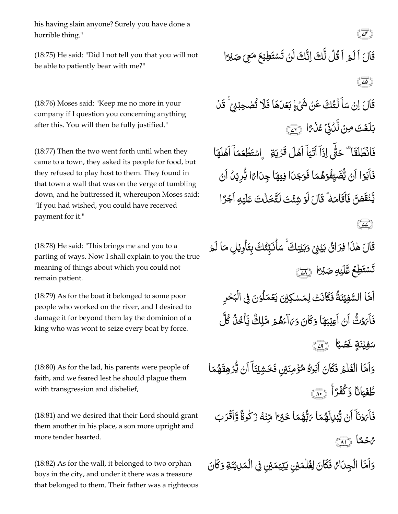his having slain anyone? Surely you have done a<br>horrible thing."

(18:75) He said: "Did I not tell you that you will not be able to patiently bear with me?"

(18:76) Moses said: "Keep me no more in your company if I question you concerning anything after this. You will then be fully justified."

(18:77) Then the two went forth until when they came to a town, they asked its people for food, but they refused to play host to them. They found in that town a wall that was on the verge of tumbling down, and he buttressed it, whereupon Moses said: "If you had wished, you could have received payment for it."

(18:78) He said: "This brings me and you to a parting of ways. Now I shall explain to you the true meaning of things about which you could not remain patient.

(18:79) As for the boat it belonged to some poor people who worked on the river, and I desired to damage it for beyond them lay the dominion of a king who was wont to seize every boat by force.

(18:80) As for the lad, his parents were people of faith, and we feared lest he should plague them with transgression and disbelief,

(18:81) and we desired that their Lord should grant them another in his place, a son more upright and more tender hearted.

(18:82) As for the wall, it belonged to two orphan boys in the city, and under it there was a treasure that belonged to them. Their father was a righteous

َ قَالَ اَ لَمْ اَ قُلْ لَّكَ اِنَّكَ لَنۡ تَسۡتَطِيۡعَ مَعِىَ صَبۡرَا  $\begin{array}{c} \boxed{20} \end{array}$ ِّ قَلْ اِنۡ سَاۤ لَٰٓتُٰلَٓ عَنۡ شَیۡۖ ِبَعۡدَهَا فَلَا تُصْحِبۡنِيۡ ۖ ِا َل َقا ن<br>ما ڪ ِّئَ لَّكُنَّىٰ عُ<mark>ن</mark>َ بَلَغۡتَ مِنۡ بَةِ <sub>س</sub>ِاسْتَ<mark>طَعَمَاً اَهْلَهَا</mark> اً أَهَلَ قَزْيَ حَتَّٰی اِذَاؔ اَتَّیَ<sup>ّ</sup> َح َفا ْنَطَلَقا <sub>َا</sub>ْاجَا يُّرِيْنُ أَنُّ ا فِي<u>ْه</u>َا جِدَا فَاَبَوۡا اَنۡ يُّضَيِّفُوۡهُمَا فَوَجَدَا فِ ا ًر ۡج ِه َا َيَّنۡقَضَّ فَأَقَامَـٰٓ ۚ قَالَ لَوۡ شِئۡتَ لَتَّخَذۡثَ عَلَيۡ Œ) ثَىٰ سَأُنَبِّئُكَ بِتَأْوِيُلِ مَا لَمَ ِيَنِكَ ۚ فِرَاقُ بَيۡنِیۡ وَبَيۡ قَالَ هٰذَا فِ ِبو**صَبْرًا** هم تَسۡتَطِعۡ عَّلَيۡ اَمَّا السَّفِيْنَةُ فَكَانَتْ لِمَسْكِيْنَ يَعُمَلُوْنَ فِي الْبَحْرِ اَعِيۡبَهَا وَكَانَ وَىَاۤءَهُمۡ مَّلِكٌ يَّاۡفُدُ كُلَّ فَأَىَدُتُّ أَنۡ أَعۡ يةٍ غَضُبًا ۞ فِيْنَ ِسَفِ َس ِهِقَهُمَا<sub>ً</sub> َدَاَهَا الْغُلْمُ فَكَانَ اَبَوْهُ مُؤْمِنَيْنِ فَخَشِيْنَاً اَنۡ يُّٰزَ يَانَا وَكُفُرًاْ ۞ طَغُّيَ*ّ* ِّ ا هِّنۡهُ زَكٰوةً وَّاَقُرَبَ فَأَىَدۡنَآ اَنۡ يُّبۡلِالَهُمَا ىَہُّهُمَا خَيۡرَ ا ًم ُر ۡح َن َكا َو تِيۡمَيۡنِ فِى الۡمَـٰاِيۡنَةِ ِت مَ<sup>ب</sup>ِنِ يَ<sub>ّ</sub> نَ لِغُلْمَ وَأَمَّا الْجِدَاءُ فَكَانَ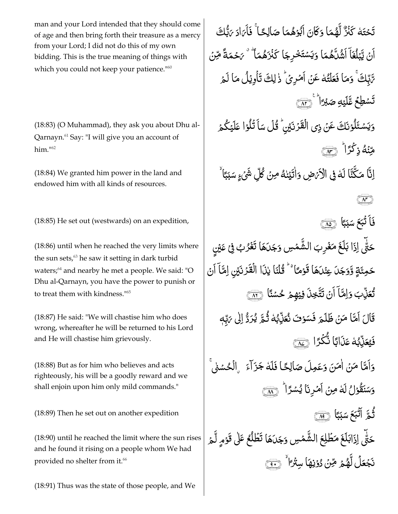man and your Lord intended that they should come of age and then bring forth their treasure as a mercy from your Lord; I did not do this of my own bidding. This is the true meaning of things with which you could not keep your patience." 60

(18:83) (O Muhammad), they ask you about Dhu al-Qarnayn. <sup>61</sup> Say: "I will give you an account of him." 62

(18:84) We granted him power in the land and endowed him with all kinds of resources.

 $(18:85)$  He set out (westwards) on an expedition,

(18:86) until when he reached the very limits where the sun sets, <sup>63</sup> he saw it setting in dark turbid waters; <sup>64</sup> and nearby he met a people. We said: "O Dhu al-Qarnayn, you have the power to punish or to treat them with kindness." 65

(18:87) He said: "We will chastise him who does wrong, whereafter he will be returned to his Lord and He will chastise him grievously.

(18:88) But as for him who believes and acts righteously, his will be a goodly reward and we shall enjoin upon him only mild commands."

 $(18:89)$  Then he set out on another expedition

(18:90) until he reached the limit where the sun rises and he found it rising on a people whom We had provided no shelter from it. 66

(18:91) Thus was the state of those people, and We

ُنَاَ*ن*َادَ *بَ*ابُّكَ هُمَا وَكَانَ اَبُوۡهُمَا صَالِحًا ۚ فَاَ تَّحْتَهُ كَنْزٌ لَّ متِرْ اَنۡ يَّبۡلُغَآ اَشُلَّهُمَا وَيَسۡتَخۡرِجَا كَنۡزَهُمَا ۖ ۚ ۚ يَحۡمَةً مِّ ِّ تَّرِّبُكَ ۚ وَمَا فَعَلَتُهُ عَنۡ اَمۡرِىۡ ۚ ذٰ لِكَ تَأۡوِيۡلُ مَا لَمۡ ِبِهِ صَبْرًا ۚ ﴿ <u>``</u> تَسۡطِعۡ عَّلَيۡ وَيَسۡئَلُوۡنَكَ عَنۡ ذِى الۡقَرۡنَيۡنِ ۗ قُلۡ سَاۤ تُلۡوَا عَلَيۡكُمۡ ـ گرًا <u>ُ آ</u> ِّئِنَّهُ ذِ<sup>كُ</sup> ِّم ءٍ سَبَبًأ ُ ِ<br>اع <sub>َ</sub> مِنْ گُلِّ شَیْ ا مَكَّنَّا لَهُ فِی الْاَتْرَضِ وَاٰتَيۡنٰهُ َم ِاَّنا  $\left(\widehat{\Lambda''}\right)$ فَأَ تُبَعَ سَبَبً دَيْتَى اِذَا بَلَغَ مَغْرِبَ الشَّمَسِ وَجَدَهَا تَغُرُبُ فِي عَيْنٍ َح حَمِئَةٍ وَّوَجَدَ عِنُدَهَا قَوْمًا ۚ وُّلْنَا يٰذَا الْقَرْنَيْنِ اِمَّاۤ اَنْ بْهِمْ لَحْسْنًا ۞ ، وي<sub>چ</sub> َاهَّاً أَنۡ تَتَّخِذَ فِ <sub>با</sub>ب وَ ِّذ َع ُت َّنزِّبُهُ ثُمَّ يُرَدُّ اِلٰى <sub>كَنِ</sub>ّهٖ َقَالَ أَمَّا مَنْ ظَلَمَ فَسَوۡفَ نُعَ ن<br>كُرًا ه<del>ِي</del> َنْزِّبُهُ عَذَابًا ثُّكُّ َع ُي َف وَاَهَّا مَنۡ اٰمَنَ وَعَمِلَ صَالِحًا فَلَهٗ جَزَآءَ ۗ اِلۡكُسۡنَٰ ۚ وَسَنَقُوْلُ لَهُ مِنُ أَمْرِنَا يُسُرًا ۚ ﴿ سَي ثُمَّرَ أَنَّبَ*حَ* سَبَبَ*ّ* دَقّٰى اِذَابَلَغَ مَطَلِعَ الشَّمۡسِ وَجَدَهَا تَطَلُّعُ عَلٰى قَوۡمٍ لَّٰمَ َح سِتْرَا ُ آ ِ<br>نِهَا سِ ر<br>ڏوُني هَنِ ڏُؤ ِّم نَجُعَلُ لَّهُمُ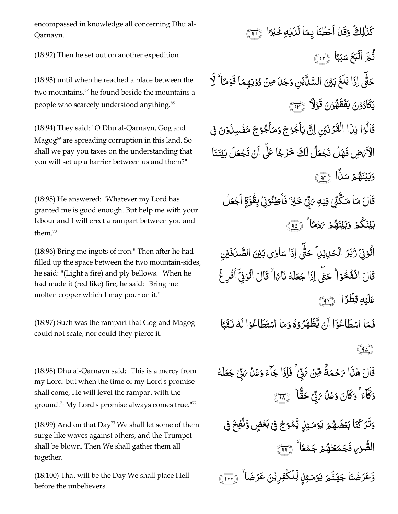encompassed in knowledge all concerning Dhu al-Qarnayn. <sup>ا</sup>

 $(18:92)$  Then he set out on another expedition

(18:93) until when he reached a place between the two mountains, <sup>67</sup> he found beside the mountains a people who scarcely understood anything. 68

(18:94) They said: "O Dhu al-Qarnayn, Gog and Magog <sup>69</sup> are spreading corruption in this land. So shall we pay you taxes on the understanding that you will set up a barrier between us and them?"

(18:95) He answered: "Whatever my Lord has granted me is good enough. But help me with your labour and I will erect a rampart between you and them. $70$ 

(18:96) Bring me ingots of iron." Then after he had filled up the space between the two mountain-sides, he said: "(Light a fire) and ply bellows." When he had made it (red like) fire, he said: "Bring me molten copper which I may pour on it."

(18:97) Such was the rampart that Gog and Magog could not scale, nor could they pierce it.

(18:98) Dhu al-Qarnayn said: "This is a mercy from my Lord: but when the time of my Lord's promise shall come, He will level the rampart with the ground. <sup>71</sup> My Lord's promise always comes true." 72

 $(18.99)$  And on that Day<sup>73</sup> We shall let some of them surge like waves against others, and the Trumpet shall be blown. Then We shall gather them all together.

(18:100) That will be the Day We shall place Hell before the unbelievers

كَّلْلِكَّ وَقَلُ أَحَطُنَا بِمَا لَدَيْهِ خُبْرً ثُمَّرَ أَتَّبَ*َحَ* سَبَبََّ دُوۡنِهِمَا قَوۡمَـَا ۚ لَّا دَيْتَى اِذَا بَلَغَ بَيْنَ السَّدَّيْنِ وَجَدَ مِنْ دُوْ َح يَكَادُوْنَ يَفۡقَهُوۡنَ قَوۡلَا ۚ (٣ ُاجُوۡجَ مُفۡسِلُوۡنَ فِی َقَالُوۡا يٰنَاا الۡقَرۡنَيۡنِ اِنَّ يَأۡلَجُوۡجَ وَمَ الْأَمَضِ فَهَلْ نَجُعَلُ لَكَ خَرُجًا عَلَّى أَنْ تَجُعَلَ بَيْنَنَا <u>ب</u><br>ب د*َبَيۡنَهُمۡ* سَلَّا ۞ عِيۡنُوۡنِۢ بِقُوَّةٍ اَجۡعَلۡ ِبِهِ <sub>كَرِ</sub>ّةٍ خَيْرٌ فَأَعِ م وي<sub>چ</sub> .<br>ئۇم **ڧ** دني ا مَـُگَّ َم ا َل َم َقا بَيۡنَكُمۡ وَبَيۡنَهُمۡ *بَ*دۡمَاۤ ۚ <u>۞</u> او*ٰى بَيۡنَ* الصَّدَفَيۡنِ ا اِذا س*ا*<br>ا حَتّٰی اِذَا اُتُوۡنِۢ رُٰٓبَرَ الۡحَٰلِيۡلِ ؕ حَ اُ ۚ قَالَ اٰتُوۡنِۤ ۡاٰفُرِغۡۖ ًر <sub>َ</sub><br>دَبِّی اِذَا جَعَلَهُ نَا َقَالَ انْفُخُوْاً حَ .<br>ظرا هي ۡط ِه ِق عَلَي<sub>ۡ</sub> بجأ فَمَا اسْطَاعُوۡٓا أَنۡ يَّظۡلَهَرُوۡوُهُ وَمَا اسۡتَطَاعُوۡا لَهٗ نَـقَٰبَٔ  $\left(\widetilde{\mathbf{q}}\mathbf{\mathcal{L}}\right)$ َقَالَ هٰذَا يَحْمَةٌ مِّنۡ تَّرِبۡۚ فَإِذَا جَأَءَ وَعۡلُ يَٰٓئِ جَعَلَهَ دَكَّاءَ ۚ وَكَانَ وَعُلُ يَهِّيۡ حَقًّا ۚ ﴿ وَ وَتَرَكْنَا بَعۡضَهُمۡ يَوۡمَـٔنِيۡ يَّمُوۡجُ فِىۡ بَعۡضٍ وَّنُفِخَ فِى <u>ـ</u> الصُّوۡرِ، فَجَمَعۡنٰهُمۡ جَمۡعَا ۚ ۞ َّوَّعَرَضُنَا جَهَنَّكَ يَوْمَئِنٍ لِّلْكَٰفِرِيْنَ عَرْضَاً ۚ ۚ ... ـ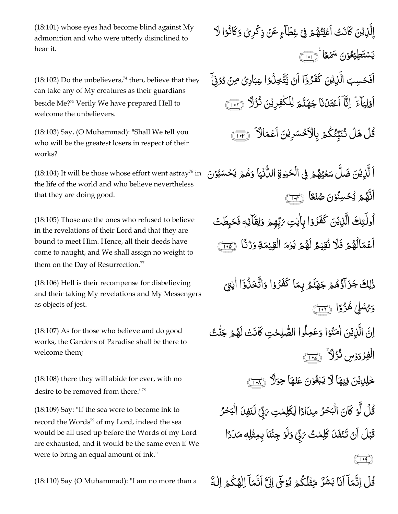(18:101) whose eyes had become blind against My admonition and who were utterly disinclined to hear it.

 $(18:102)$  Do the unbelievers,<sup>74</sup> then, believe that they can take any of My creatures as their guardians beside Me? <sup>75</sup> Verily We have prepared Hell to welcome the unbelievers.

(18:103) Say, (O Muhammad): "Shall We tell you who will be the greatest losers in respect of their works?

(18:104) It will be those whose effort went astray<sup>76</sup> in the life of the world and who believe nevertheless that they are doing good.

(18:105) Those are the ones who refused to believe in the revelations of their Lord and that they are bound to meet Him. Hence, all their deeds have come to naught, and We shall assign no weight to them on the Day of Resurrection. 77

(18:106) Hell is their recompense for disbelieving and their taking My revelations and My Messengers as objects of jest.

(18:107) As for those who believe and do good works, the Gardens of Paradise shall be there to welcome them;

(18:108) there they will abide for ever, with no desire to be removed from there." 78

(18:109) Say: "If the sea were to become ink to record the Words <sup>79</sup> of my Lord, indeed the sea would be all used up before the Words of my Lord are exhausted, and it would be the same even if We were to bring an equal amount of ink."

(18:110) Say (O Muhammad): "I am no more than a

الِّكْزِيۡنَ كَانَتۡ اَعۡيُنُهُمۡ فِیۡ غِطَآءٍ عَنۡ ذِكۡرِیۡ وَكَانُوۡا لَا يَسۡتَطِيۡعُوۡنَ سَمۡمَعَاۤ ۚ <u>`</u> ادِیۡ مِنۡ دُوۡنَ<mark>ِ</mark> ِ اعِبَ اَفَحَسِبَ الَّذِيۡنَ كَفَرُوۡٓا اَنۡ يَّتَّخِذُوۡا ءِ ِمَ لِلْكَفِرِيْنَ نُزُلًا (٦٠٣ بَا<sub>ٓعَ</sub> ؕ اِنَّآ اَعۡتَدَٰنَاۤ جَهَنَّمَ اوريد ِ أَوۡرٰ ۡو َا َقُلُ هَلُ نُنَبِّئُكُمۡ بِالۡكَٰحۡسَٰرِيۡنَ اَعۡمَالَا ۚ ٣ بَا وَهُمۡ يَحۡسَبُوۡنَ<br>۫ وقِ اللُّ<sup>ا</sup>نُيَ<sup>ّ</sup> اَ لَّلْزِيۡنَ ضَلَّ سَعۡيُهُمۡ فِی الۡحَيۡدِ<br>ا اَنَّهُمۡ يُحۡسِنُوۡنَ صُنۡعًا ۞. ِ وَلِقَاْئِهٖ فَحَبِطَتُ اُولَّئِكَ الَّذِيۡنَ كَفَرُوۡا بِاٰيٰتِ ⁄َتِهِمۡ وَ نةِ وَزْنًا ﴿ ١٠٥ نِيدَ<br>أ قِيۡمُ لَهُمۡ يَرۡم<sub>َ</sub> الۡقِ اَعۡمَاٰلُهُمۡ فَلَا نُقِ بِمَا كَفَرُوۡا وَاتَّخَذُوۡٓا اٰيٰتِیۡ ٿئر پ زٰلِكَ جَزَ ا<sup>َ</sup>ؤُهُمۡ جَهَنَّهُۥ وَمُسْلِئٍ هُٰزُوًّا ﴿ وَ ۖ.. اِنَّ الَّذِيْنَ اٰمَنُوۡا وَعَمِلُوا الصَّلِحٰتِ كَانَتۡ لَهُمۡ جَنُّتُ الْفِرُدَوُسِ نُزُلًا ۚ <u>(~</u> <u>وراً</u> (من َ فِيْهَا لَا يَبۡغُوۡنَ عَنۡهَا حِ .<br>-و<br>يُرى في خٰلِر*ِيْنَ* َ قُلْ لَّوَ كَانَ الْبَحْرُ مِدَادًا لِّكَلِمْتِ يَوِّيْ لَنَفِدَ الْبَحْرُ .<br>-قَبْلَ أَنۡ تَنۡفَلَ كَلِمٰتُ يَٰزِّىۡ وَلَوۡ جِئۡنَاۚ بِمِثۡلِهٖ مَلَآَا  $\overline{1}$   $\bullet$ اً اِلٰهُكُمۡ اِلٰهٌ .<br>-َقُلُ اِنَّمَاَ اَنَا بَشَرٌ مِّثَلُكُمۡ يُوۡلَىٰ اِلَىٰٓ اَنَّمَ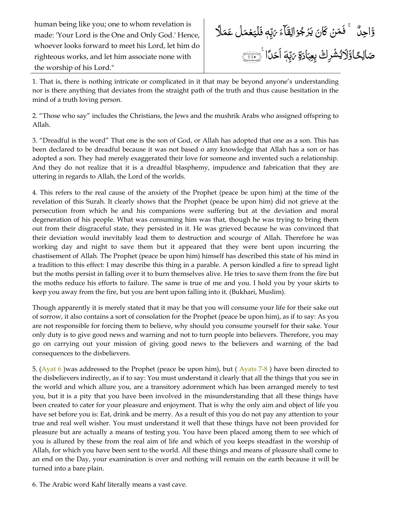human being like you; one to whom revelation is made: 'Your Lord is the One and Only God.' Hence, whoever looks forward to meet his Lord, let him do righteous works, and let him associate none with the worship of his Lord."

َوَّاحِلٌ ۚ فَمَنۡنَ كَانَ يَرۡلَجُوۡالِقَآءَ يَٰلِّهٖ فَلۡيَعۡمَلۡ عَمَلَآ ـ ِّقِ <sub>كَ</sub>بِّهَ أَحَدًا <sup>ع</sup>َلَّ َر ِ<br>ِق َد ا صَالِحًاوَّلَايُشُرِكُ بِعِبَ

1. That is, there is nothing intricate or complicated in it that may be beyond anyone's understanding nor is there anything that deviates from the straight path of the truth and thus cause hesitation in the mind of a truth loving person.

2. "Those who say" includes the Christians, the Jews and the mushrik Arabs who assigned offspring to Allah.

3. "Dreadful is the word" That one is the son of God, or Allah has adopted that one as a son. This has been declared to be dreadful because it was not based o any knowledge that Allah has a son or has adopted a son. They had merely exaggerated their love for someone and invented such a relationship. And they do not realize that it is a dreadful blasphemy, impudence and fabrication that they are uttering in regards to Allah, the Lord of the worlds.

4. This refers to the real cause of the anxiety of the Prophet (peace be upon him) at the time of the revelation of this Surah. It clearly shows that the Prophet (peace be upon him) did not grieve at the persecution from which he and his companions were suffering but at the deviation and moral degeneration of his people. What was consuming him was that, though he was trying to bring them out from their disgraceful state, they persisted in it. He was grieved because he was convinced that their deviation would inevitably lead them to destruction and scourge of Allah. Therefore he was working day and night to save them but it appeared that they were bent upon incurring the chastisement of Allah. The Prophet (peace be upon him) himself has described this state of his mind in a tradition to this effect: I may describe this thing in a parable. A person kindled a fire to spread light but the moths persist in falling over it to burn themselves alive. He tries to save them from the fire but the moths reduce his efforts to failure. The same is true of me and you. I hold you by your skirts to keep you away from the fire, but you are bent upon falling into it. (Bukhari, Muslim).

Though apparently it is merely stated that it may be that you will consume your life for their sake out of sorrow, it also contains a sort of consolation for the Prophet (peace be upon him), as if to say: As you are not responsible for forcing them to believe, why should you consume yourself for their sake. Your only duty is to give good news and warning and not to turn people into believers. Therefore, you may go on carrying out your mission of giving good news to the believers and warning of the bad consequences to the disbelievers.

5. ([Ayat](http://islamicstudies.info/reference.php?sura=18&verse=6) 6) was addressed to the Prophet (peace be upon him), but ( $A$ yats 7-8) have been directed to the disbelievers indirectly, as if to say: You must understand it clearly that all the things that you see in the world and which allure you, are a transitory adornment which has been arranged merely to test you, but it is a pity that you have been involved in the misunderstanding that all these things have been created to cater for your pleasure and enjoyment. That is why the only aim and object of life you have set before you is: Eat, drink and be merry. As a result of this you do not pay any attention to your true and real well wisher. You must understand it well that these things have not been provided for pleasure but are actually a means of testing you. You have been placed among them to see which of you is allured by these from the real aim of life and which of you keeps steadfast in the worship of Allah, for which you have been sent to the world. All these things and means of pleasure shall come to an end on the Day, your examination is over and nothing will remain on the earth because it will be turned into a bare plain.

6. The Arabic word Kahf literally means a vast cave.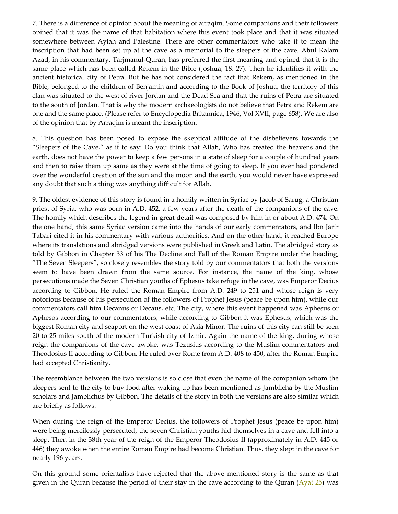7. There is a difference of opinion about the meaning of arraqim. Some companions and their followers opined that it was the name of that habitation where this event took place and that it was situated somewhere between Aylah and Palestine. There are other commentators who take it to mean the inscription that had been set up at the cave as a memorial to the sleepers of the cave. Abul Kalam Azad, in his commentary, Tarjmanul-Quran, has preferred the first meaning and opined that it is the same place which has been called Rekem in the Bible (Joshua, 18: 27). Then he identifies it with the ancient historical city of Petra. But he has not considered the fact that Rekem, as mentioned in the Bible, belonged to the children of Benjamin and according to the Book of Joshua, the territory of this clan was situated to the west of river Jordan and the Dead Sea and that the ruins of Petra are situated to the south of Jordan. That is why the modern archaeologists do not believe that Petra and Rekem are one and the same place. (Please refer to Encyclopedia Britannica, 1946, Vol XVII, page 658). We are also of the opinion that by Arraqim is meant the inscription.

8. This question has been posed to expose the skeptical attitude of the disbelievers towards the "Sleepers of the Cave," as if to say: Do you think that Allah, Who has created the heavens and the earth, does not have the power to keep a few persons in a state of sleep for a couple of hundred years and then to raise them up same as they were at the time of going to sleep. If you ever had pondered over the wonderful creation of the sun and the moon and the earth, you would never have expressed any doubt that such a thing was anything difficult for Allah.

9. The oldest evidence of this story is found in a homily written in Syriac by Jacob of Sarug, a Christian priest of Syria, who was born in A.D. 452, a few years after the death of the companions of the cave. The homily which describes the legend in great detail was composed by him in or about A.D. 474. On the one hand, this same Syriac version came into the hands of our early commentators, and Ibn Jarir Tabari cited it in his commentary with various authorities. And on the other hand, it reached Europe where its translations and abridged versions were published in Greek and Latin. The abridged story as told by Gibbon in Chapter 33 of his The Decline and Fall of the Roman Empire under the heading, "The Seven Sleepers", so closely resembles the story told by our commentators that both the versions seem to have been drawn from the same source. For instance, the name of the king, whose persecutions made the Seven Christian youths of Ephesus take refuge in the cave, was Emperor Decius according to Gibbon. He ruled the Roman Empire from A.D. 249 to 251 and whose reign is very notorious because of his persecution of the followers of Prophet Jesus (peace be upon him), while our commentators call him Decanus or Decaus, etc. The city, where this event happened was Aphesus or Aphesos according to our commentators, while according to Gibbon it was Ephesus, which was the biggest Roman city and seaport on the west coast of Asia Minor. The ruins of this city can still be seen 20 to 25 miles south of the modern Turkish city of Izmir. Again the name of the king, during whose reign the companions of the cave awoke, was Tezusius according to the Muslim commentators and Theodosius II according to Gibbon. He ruled over Rome from A.D. 408 to 450, after the Roman Empire had accepted Christianity.

The resemblance between the two versions is so close that even the name of the companion whom the sleepers sent to the city to buy food after waking up has been mentioned as Jamblicha by the Muslim scholars and Jamblichus by Gibbon. The details of the story in both the versions are also similar which are briefly as follows.

When during the reign of the Emperor Decius, the followers of Prophet Jesus (peace be upon him) were being mercilessly persecuted, the seven Christian youths hid themselves in a cave and fell into a sleep. Then in the 38th year of the reign of the Emperor Theodosius II (approximately in A.D. 445 or 446) they awoke when the entire Roman Empire had become Christian. Thus, they slept in the cave for nearly 196 years.

On this ground some orientalists have rejected that the above mentioned story is the same as that given in the Quran because the period of their stay in the cave according to the Quran ([Ayat](http://islamicstudies.info/reference.php?sura=18&verse=25) 25) was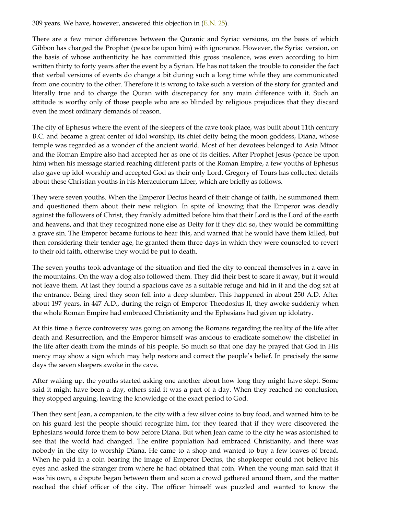309 years. We have, however, answered this objection in  $(E.N. 25)$  $(E.N. 25)$ .

There are a few minor differences between the Quranic and Syriac versions, on the basis of which Gibbon has charged the Prophet (peace be upon him) with ignorance. However, the Syriac version, on the basis of whose authenticity he has committed this gross insolence, was even according to him written thirty to forty years after the event by a Syrian. He has not taken the trouble to consider the fact that verbal versions of events do change a bit during such a long time while they are communicated from one country to the other. Therefore it is wrong to take such a version of the story for granted and literally true and to charge the Quran with discrepancy for any main difference with it. Such an attitude is worthy only of those people who are so blinded by religious prejudices that they discard even the most ordinary demands of reason.

The city of Ephesus where the event of the sleepers of the cave took place, was built about 11th century B.C. and became a great center of idol worship, its chief deity being the moon goddess, Diana, whose temple was regarded as a wonder of the ancient world. Most of her devotees belonged to Asia Minor and the Roman Empire also had accepted her as one of its deities. After Prophet Jesus (peace be upon him) when his message started reaching different parts of the Roman Empire, a few youths of Ephesus also gave up idol worship and accepted God as their only Lord. Gregory of Tours has collected details about these Christian youths in his Meraculorum Liber, which are briefly as follows.

They were seven youths. When the Emperor Decius heard of their change of faith, he summoned them and questioned them about their new religion. In spite of knowing that the Emperor was deadly against the followers of Christ, they frankly admitted before him that their Lord is the Lord of the earth and heavens, and that they recognized none else as Deity for if they did so, they would be committing a grave sin. The Emperor became furious to hear this, and warned that he would have them killed, but then considering their tender age, he granted them three days in which they were counseled to revert to their old faith, otherwise they would be put to death.

The seven youths took advantage of the situation and fled the city to conceal themselves in a cave in the mountains. On the way a dog also followed them. They did their best to scare it away, but it would not leave them. At last they found a spacious cave as a suitable refuge and hid in it and the dog sat at the entrance. Being tired they soon fell into a deep slumber. This happened in about 250 A.D. After about 197 years, in 447 A.D., during the reign of Emperor Theodosius II, they awoke suddenly when the whole Roman Empire had embraced Christianity and the Ephesians had given up idolatry.

At this time a fierce controversy was going on among the Romans regarding the reality of the life after death and Resurrection, and the Emperor himself was anxious to eradicate somehow the disbelief in the life after death from the minds of his people. So much so that one day he prayed that God in His mercy may show a sign which may help restore and correct the people's belief. In precisely the same days the seven sleepers awoke in the cave.

After waking up, the youths started asking one another about how long they might have slept. Some said it might have been a day, others said it was a part of a day. When they reached no conclusion, they stopped arguing, leaving the knowledge of the exact period to God.

Then they sent Jean, a companion, to the city with a few silver coins to buy food, and warned him to be on his guard lest the people should recognize him, for they feared that if they were discovered the Ephesians would force them to bow before Diana. But when Jean came to the city he was astonished to see that the world had changed. The entire population had embraced Christianity, and there was nobody in the city to worship Diana. He came to a shop and wanted to buy a few loaves of bread. When he paid in a coin bearing the image of Emperor Decius, the shopkeeper could not believe his eyes and asked the stranger from where he had obtained that coin. When the young man said that it was his own, a dispute began between them and soon a crowd gathered around them, and the matter reached the chief officer of the city. The officer himself was puzzled and wanted to know the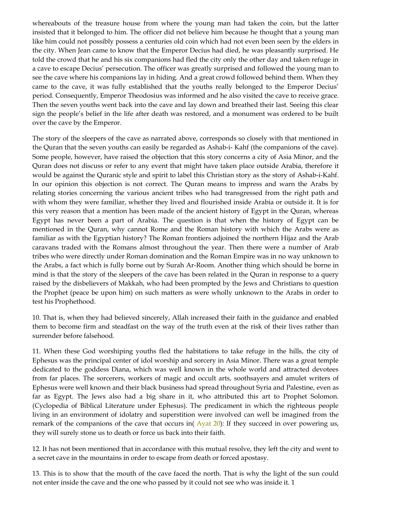whereabouts of the treasure house from where the young man had taken the coin, but the latter insisted that it belonged to him. The officer did not believe him because he thought that a young man like him could not possibly possess a centuries old coin which had not even been seen by the elders in the city. When Jean came to know that the Emperor Decius had died, he was pleasantly surprised. He told the crowd that he and his six companions had fled the city only the other day and taken refuge in a cave to escape Decius' persecution. The officer was greatly surprised and followed the young man to see the cave where his companions lay in hiding. And a great crowd followed behind them. When they came to the cave, it was fully established that the youths really belonged to the Emperor Decius' period. Consequently, Emperor Theodosius was informed and he also visited the cave to receive grace. Then the seven youths went back into the cave and lay down and breathed their last. Seeing this clear sign the people's belief in the life after death was restored, and a monument was ordered to be built over the cave by the Emperor.

The story of the sleepers of the cave as narrated above, corresponds so closely with that mentioned in the Quran that the seven youths can easily be regarded as Ashab-i- Kahf (the companions of the cave). Some people, however, have raised the objection that this story concerns a city of Asia Minor, and the Quran does not discuss or refer to any event that might have taken place outside Arabia, therefore it would be against the Quranic style and spirit to label this Christian story as the story of Ashab-i-Kahf. In our opinion this objection is not correct. The Quran means to impress and warn the Arabs by relating stories concerning the various ancient tribes who had transgressed from the right path and with whom they were familiar, whether they lived and flourished inside Arabia or outside it. It is for this very reason that a mention has been made of the ancient history of Egypt in the Quran, whereas Egypt has never been a part of Arabia. The question is that when the history of Egypt can be mentioned in the Quran, why cannot Rome and the Roman history with which the Arabs were as familiar as with the Egyptian history? The Roman frontiers adjoined the northern Hijaz and the Arab caravans traded with the Romans almost throughout the year. Then there were a number of Arab tribes who were directly under Roman domination and the Roman Empire was in no way unknown to the Arabs, a fact which is fully borne out by Surah Ar-Room. Another thing which should be borne in mind is that the story of the sleepers of the cave has been related in the Quran in response to a query raised by the disbelievers of Makkah, who had been prompted by the Jews and Christians to question the Prophet (peace be upon him) on such matters as were wholly unknown to the Arabs in order to test his Prophethood.

10. That is, when they had believed sincerely, Allah increased their faith in the guidance and enabled them to become firm and steadfast on the way of the truth even at the risk of their lives rather than surrender before falsehood.

11. When these God worshiping youths fled the habitations to take refuge in the hills, the city of Ephesus was the principal center of idol worship and sorcery in Asia Minor. There was a great temple dedicated to the goddess Diana, which was well known in the whole world and attracted devotees from far places. The sorcerers, workers of magic and occult arts, soothsayers and amulet writers of Ephesus were well known and their black business had spread throughout Syria and Palestine, even as far as Egypt. The Jews also had a big share in it, who attributed this art to Prophet Solomon. (Cyclopedia of Biblical Literature under Ephesus). The predicament in which the righteous people living in an environment of idolatry and superstition were involved can well be imagined from the remark of the companions of the cave that occurs in( [Ayat](http://islamicstudies.info/reference.php?sura=18&verse=20) 20): If they succeed in over powering us, they will surely stone us to death or force us back into their faith.

12. It has not been mentioned that in accordance with this mutual resolve, they left the city and went to a secret cave in the mountains in order to escape from death or forced apostasy.

13. This is to show that the mouth of the cave faced the north. That is why the light of the sun could not enter inside the cave and the one who passed by it could not see who was inside it. 1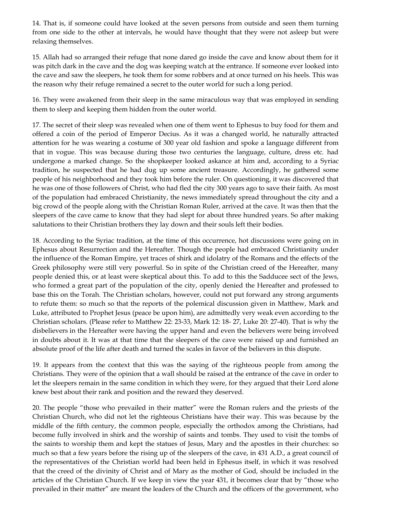14. That is, if someone could have looked at the seven persons from outside and seen them turning from one side to the other at intervals, he would have thought that they were not asleep but were relaxing themselves.

15. Allah had so arranged their refuge that none dared go inside the cave and know about them for it was pitch dark in the cave and the dog was keeping watch at the entrance. If someone ever looked into the cave and saw the sleepers, he took them for some robbers and at once turned on his heels. This was the reason why their refuge remained a secret to the outer world for such a long period.

16. They were awakened from their sleep in the same miraculous way that was employed in sending them to sleep and keeping them hidden from the outer world.

17. The secret of their sleep was revealed when one of them went to Ephesus to buy food for them and offered a coin of the period of Emperor Decius. As it was a changed world, he naturally attracted attention for he was wearing a costume of 300 year old fashion and spoke a language different from that in vogue. This was because during those two centuries the language, culture, dress etc. had undergone a marked change. So the shopkeeper looked askance at him and, according to a Syriac tradition, he suspected that he had dug up some ancient treasure. Accordingly, he gathered some people of his neighborhood and they took him before the ruler. On questioning, it was discovered that he was one of those followers of Christ, who had fled the city 300 years ago to save their faith. As most of the population had embraced Christianity, the news immediately spread throughout the city and a big crowd of the people along with the Christian Roman Ruler, arrived at the cave. It was then that the sleepers of the cave came to know that they had slept for about three hundred years. So after making salutations to their Christian brothers they lay down and their souls left their bodies.

18. According to the Syriac tradition, at the time of this occurrence, hot discussions were going on in Ephesus about Resurrection and the Hereafter. Though the people had embraced Christianity under the influence of the Roman Empire, yet traces of shirk and idolatry of the Romans and the effects of the Greek philosophy were still very powerful. So in spite of the Christian creed of the Hereafter, many people denied this, or at least were skeptical about this. To add to this the Sadducee sect of the Jews, who formed a great part of the population of the city, openly denied the Hereafter and professed to base this on the Torah. The Christian scholars, however, could not put forward any strong arguments to refute them: so much so that the reports of the polemical discussion given in Matthew, Mark and Luke, attributed to Prophet Jesus (peace be upon him), are admittedly very weak even according to the Christian scholars. (Please refer to Matthew 22: 23-33, Mark 12: 18- 27, Luke 20: 27-40). That is why the disbelievers in the Hereafter were having the upper hand and even the believers were being involved in doubts about it. It was at that time that the sleepers of the cave were raised up and furnished an absolute proof of the life after death and turned the scales in favor of the believers in this dispute.

19. It appears from the context that this was the saying of the righteous people from among the Christians. They were of the opinion that a wall should be raised at the entrance of the cave in order to let the sleepers remain in the same condition in which they were, for they argued that their Lord alone knew best about their rank and position and the reward they deserved.

20. The people "those who prevailed in their matter" were the Roman rulers and the priests of the Christian Church, who did not let the righteous Christians have their way. This was because by the middle of the fifth century, the common people, especially the orthodox among the Christians, had become fully involved in shirk and the worship of saints and tombs. They used to visit the tombs of the saints to worship them and kept the statues of Jesus, Mary and the apostles in their churches: so much so that a few years before the rising up of the sleepers of the cave, in 431 A.D., a great council of the representatives of the Christian world had been held in Ephesus itself, in which it was resolved that the creed of the divinity of Christ and of Mary as the mother of God, should be included in the articles of the Christian Church. If we keep in view the year 431, it becomes clear that by "those who prevailed in their matter" are meant the leaders of the Church and the officers of the government, who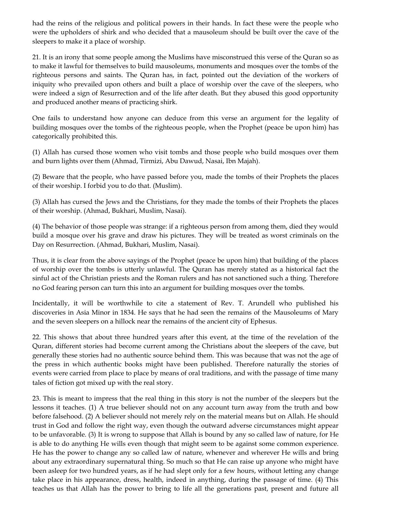had the reins of the religious and political powers in their hands. In fact these were the people who were the upholders of shirk and who decided that a mausoleum should be built over the cave of the sleepers to make it a place of worship.

21. It is an irony that some people among the Muslims have misconstrued this verse of the Quran so as to make it lawful for themselves to build mausoleums, monuments and mosques over the tombs of the righteous persons and saints. The Quran has, in fact, pointed out the deviation of the workers of iniquity who prevailed upon others and built a place of worship over the cave of the sleepers, who were indeed a sign of Resurrection and of the life after death. But they abused this good opportunity and produced another means of practicing shirk.

One fails to understand how anyone can deduce from this verse an argument for the legality of building mosques over the tombs of the righteous people, when the Prophet (peace be upon him) has categorically prohibited this.

(1) Allah has cursed those women who visit tombs and those people who build mosques over them and burn lights over them (Ahmad, Tirmizi, Abu Dawud, Nasai, Ibn Majah).

(2) Beware that the people, who have passed before you, made the tombs of their Prophets the places of their worship. I forbid you to do that. (Muslim).

(3) Allah has cursed the Jews and the Christians, for they made the tombs of their Prophets the places of their worship. (Ahmad, Bukhari, Muslim, Nasai).

(4) The behavior of those people was strange: if a righteous person from among them, died they would build a mosque over his grave and draw his pictures. They will be treated as worst criminals on the Day on Resurrection. (Ahmad, Bukhari, Muslim, Nasai).

Thus, it is clear from the above sayings of the Prophet (peace be upon him) that building of the places of worship over the tombs is utterly unlawful. The Quran has merely stated as a historical fact the sinful act of the Christian priests and the Roman rulers and has not sanctioned such a thing. Therefore no God fearing person can turn this into an argument for building mosques over the tombs.

Incidentally, it will be worthwhile to cite a statement of Rev. T. Arundell who published his discoveries in Asia Minor in 1834. He says that he had seen the remains of the Mausoleums of Mary and the seven sleepers on a hillock near the remains of the ancient city of Ephesus.

22. This shows that about three hundred years after this event, at the time of the revelation of the Quran, different stories had become current among the Christians about the sleepers of the cave, but generally these stories had no authentic source behind them. This was because that was not the age of the press in which authentic books might have been published. Therefore naturally the stories of events were carried from place to place by means of oral traditions, and with the passage of time many tales of fiction got mixed up with the real story.

23. This is meant to impress that the real thing in this story is not the number of the sleepers but the lessons it teaches. (1) A true believer should not on any account turn away from the truth and bow before falsehood. (2) A believer should not merely rely on the material means but on Allah. He should trust in God and follow the right way, even though the outward adverse circumstances might appear to be unfavorable. (3) It is wrong to suppose that Allah is bound by any so called law of nature, for He is able to do anything He wills even though that might seem to be against some common experience. He has the power to change any so called law of nature, whenever and wherever He wills and bring about any extraordinary supernatural thing. So much so that He can raise up anyone who might have been asleep for two hundred years, as if he had slept only for a few hours, without letting any change take place in his appearance, dress, health, indeed in anything, during the passage of time. (4) This teaches us that Allah has the power to bring to life all the generations past, present and future all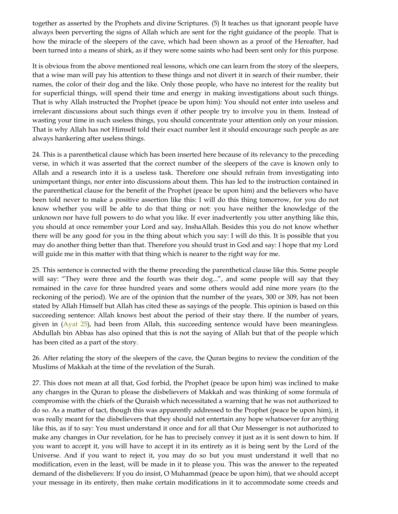together as asserted by the Prophets and divine Scriptures. (5) It teaches us that ignorant people have always been perverting the signs of Allah which are sent for the right guidance of the people. That is how the miracle of the sleepers of the cave, which had been shown as a proof of the Hereafter, had been turned into a means of shirk, as if they were some saints who had been sent only for this purpose.

It is obvious from the above mentioned real lessons, which one can learn from the story of the sleepers, that a wise man will pay his attention to these things and not divert it in search of their number, their names, the color of their dog and the like. Only those people, who have no interest for the reality but for superficial things, will spend their time and energy in making investigations about such things. That is why Allah instructed the Prophet (peace be upon him): You should not enter into useless and irrelevant discussions about such things even if other people try to involve you in them. Instead of wasting your time in such useless things, you should concentrate your attention only on your mission. That is why Allah has not Himself told their exact number lest it should encourage such people as are always hankering after useless things.

24. This is a parenthetical clause which has been inserted here because of its relevancy to the preceding verse, in which it was asserted that the correct number of the sleepers of the cave is known only to Allah and a research into it is a useless task. Therefore one should refrain from investigating into unimportant things, nor enter into discussions about them. This has led to the instruction contained in the parenthetical clause for the benefit of the Prophet (peace be upon him) and the believers who have been told never to make a positive assertion like this: I will do this thing tomorrow, for you do not know whether you will be able to do that thing or not: you have neither the knowledge of the unknown nor have full powers to do what you like. If ever inadvertently you utter anything like this, you should at once remember your Lord and say, InshaAllah. Besides this you do not know whether there will be any good for you in the thing about which you say: I will do this. It is possible that you may do another thing better than that. Therefore you should trust in God and say: I hope that my Lord will guide me in this matter with that thing which is nearer to the right way for me.

25. This sentence is connected with the theme preceding the parenthetical clause like this. Some people will say: "They were three and the fourth was their dog...", and some people will say that they remained in the cave for three hundred years and some others would add nine more years (to the reckoning of the period). We are of the opinion that the number of the years, 300 or 309, has not been stated by Allah Himself but Allah has cited these as sayings of the people. This opinion is based on this succeeding sentence: Allah knows best about the period of their stay there. If the number of years, given in  $(A$ yat  $25)$ , had been from Allah, this succeeding sentence would have been meaningless. Abdullah bin Abbas has also opined that this is not the saying of Allah but that of the people which has been cited as a part of the story.

26. After relating the story of the sleepers of the cave, the Quran begins to review the condition of the Muslims of Makkah at the time of the revelation of the Surah.

27. This does not mean at all that, God forbid, the Prophet (peace be upon him) was inclined to make any changes in the Quran to please the disbelievers of Makkah and was thinking of some formula of compromise with the chiefs of the Quraish which necessitated a warning that he was not authorized to do so. As a matter of tact, though this was apparently addressed to the Prophet (peace be upon him), it was really meant for the disbelievers that they should not entertain any hope whatsoever for anything like this, as if to say: You must understand it once and for all that Our Messenger is not authorized to make any changes in Our revelation, for he has to precisely convey it just as it is sent down to him. If you want to accept it, you will have to accept it in its entirety as it is being sent by the Lord of the Universe. And if you want to reject it, you may do so but you must understand it well that no modification, even in the least, will be made in it to please you. This was the answer to the repeated demand of the disbelievers: If you do insist, O Muhammad (peace be upon him), that we should accept your message in its entirety, then make certain modifications in it to accommodate some creeds and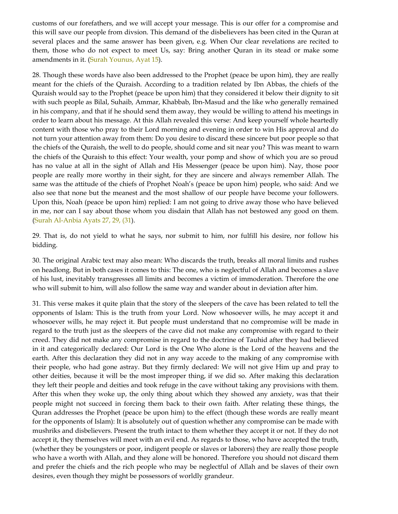customs of our forefathers, and we will accept your message. This is our offer for a compromise and this will save our people from divsion. This demand of the disbelievers has been cited in the Quran at several places and the same answer has been given, e.g. When Our clear revelations are recited to them, those who do not expect to meet Us, say: Bring another Quran in its stead or make some amendments in it. (Surah [Younus,](http://islamicstudies.info/reference.php?sura=10&verse=15) Ayat 15).

28. Though these words have also been addressed to the Prophet (peace be upon him), they are really meant for the chiefs of the Quraish. According to a tradition related by Ibn Abbas, the chiefs of the Quraish would say to the Prophet (peace be upon him) that they considered it below their dignity to sit with such people as Bilal, Suhaib, Ammar, Khabbab, Ibn-Masud and the like who generally remained in his company, and that if he should send them away, they would be willing to attend his meetings in order to learn about his message. At this Allah revealed this verse: And keep yourself whole heartedly content with those who pray to their Lord morning and evening in order to win His approval and do not turn your attention away from them: Do you desire to discard these sincere but poor people so that the chiefs of the Quraish, the well to do people, should come and sit near you? This was meant to warn the chiefs of the Quraish to this effect: Your wealth, your pomp and show of which you are so proud has no value at all in the sight of Allah and His Messenger (peace be upon him). Nay, those poor people are really more worthy in their sight, for they are sincere and always remember Allah. The same was the attitude of the chiefs of Prophet Noah's (peace be upon him) people, who said: And we also see that none but the meanest and the most shallow of our people have become your followers. Upon this, Noah (peace be upon him) replied: I am not going to drive away those who have believed in me, nor can I say about those whom you disdain that Allah has not bestowed any good on them. (Surah [Al-Anbia](http://islamicstudies.info/reference.php?sura=21&verse=27) Ayats 27, [29,](http://islamicstudies.info/reference.php?sura=21&verse=29) ([31](http://islamicstudies.info/reference.php?sura=21&verse=31)).

29. That is, do not yield to what he says, nor submit to him, nor fulfill his desire, nor follow his bidding.

30. The original Arabic text may also mean: Who discards the truth, breaks all moral limits and rushes on headlong. But in both cases it comes to this: The one, who is neglectful of Allah and becomes a slave of his lust, inevitably transgresses all limits and becomes a victim of immoderation. Therefore the one who will submit to him, will also follow the same way and wander about in deviation after him.

31. This verse makes it quite plain that the story of the sleepers of the cave has been related to tell the opponents of Islam: This is the truth from your Lord. Now whosoever wills, he may accept it and whosoever wills, he may reject it. But people must understand that no compromise will be made in regard to the truth just as the sleepers of the cave did not make any compromise with regard to their creed. They did not make any compromise in regard to the doctrine of Tauhid after they had believed in it and categorically declared: Our Lord is the One Who alone is the Lord of the heavens and the earth. After this declaration they did not in any way accede to the making of any compromise with their people, who had gone astray. But they firmly declared: We will not give Him up and pray to other deities, because it will be the most improper thing, if we did so. After making this declaration they left their people and deities and took refuge in the cave without taking any provisions with them. After this when they woke up, the only thing about which they showed any anxiety, was that their people might not succeed in forcing them back to their own faith. After relating these things, the Quran addresses the Prophet (peace be upon him) to the effect (though these words are really meant for the opponents of Islam): It is absolutely out of question whether any compromise can be made with mushriks and disbelievers. Present the truth intact to them whether they accept it or not. If they do not accept it, they themselves will meet with an evil end. As regards to those, who have accepted the truth, (whether they be youngsters or poor, indigent people or slaves or laborers) they are really those people who have a worth with Allah, and they alone will be honored. Therefore you should not discard them and prefer the chiefs and the rich people who may be neglectful of Allah and be slaves of their own desires, even though they might be possessors of worldly grandeur.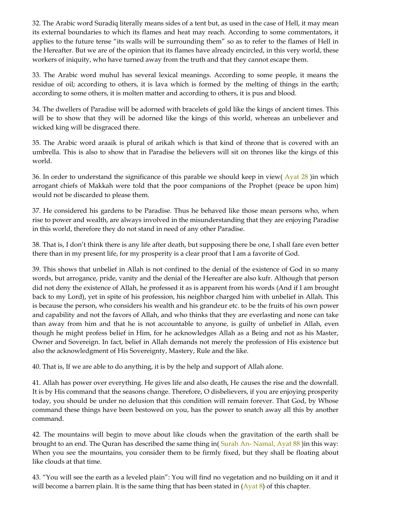32. The Arabic word Suradiq literally means sides of a tent but, as used in the case of Hell, it may mean its external boundaries to which its flames and heat may reach. According to some commentators, it applies to the future tense "its walls will be surrounding them" so as to refer to the flames of Hell in the Hereafter. But we are of the opinion that its flames have already encircled, in this very world, these workers of iniquity, who have turned away from the truth and that they cannot escape them.

33. The Arabic word muhul has several lexical meanings. According to some people, it means the residue of oil; according to others, it is lava which is formed by the melting of things in the earth; according to some others, it is molten matter and according to others, it is pus and blood.

34. The dwellers of Paradise will be adorned with bracelets of gold like the kings of ancient times. This will be to show that they will be adorned like the kings of this world, whereas an unbeliever and wicked king will be disgraced there.

35. The Arabic word araaik is plural of arikah which is that kind of throne that is covered with an umbrella. This is also to show that in Paradise the believers will sit on thrones like the kings of this world.

36. In order to understand the significance of this parable we should keep in view( $\frac{A}{\text{yat }28}$ ) in which arrogant chiefs of Makkah were told that the poor companions of the Prophet (peace be upon him) would not be discarded to please them.

37. He considered his gardens to be Paradise. Thus he behaved like those mean persons who, when rise to power and wealth, are always involved in the misunderstanding that they are enjoying Paradise in this world, therefore they do not stand in need of any other Paradise.

38. That is, I don't think there is any life after death, but supposing there be one, I shall fare even better there than in my present life, for my prosperity is a clear proof that I am a favorite of God.

39. This shows that unbelief in Allah is not confined to the denial of the existence of God in so many words, but arrogance, pride, vanity and the denial of the Hereafter are also kufr. Although that person did not deny the existence of Allah, he professed it as is apparent from his words (And if I am brought back to my Lord), yet in spite of his profession, his neighbor charged him with unbelief in Allah. This is because the person, who considers his wealth and his grandeur etc. to be the fruits of his own power and capability and not the favors of Allah, and who thinks that they are everlasting and none can take than away from him and that he is not accountable to anyone, is guilty of unbelief in Allah, even though he might profess belief in Him, for he acknowledges Allah as a Being and not as his Master, Owner and Sovereign. In fact, belief in Allah demands not merely the profession of His existence but also the acknowledgment of His Sovereignty, Mastery, Rule and the like.

40. That is, If we are able to do anything, it is by the help and support of Allah alone.

41. Allah has power over everything. He gives life and also death, He causes the rise and the downfall. It is by His command that the seasons change. Therefore, O disbelievers, if you are enjoying prosperity today, you should be under no delusion that this condition will remain forever. That God, by Whose command these things have been bestowed on you, has the power to snatch away all this by another command.

42. The mountains will begin to move about like clouds when the gravitation of the earth shall be brought to an end. The Quran has described the same thing in( Surah An- [Namal,](http://islamicstudies.info/reference.php?sura=27&verse=88) Ayat 88 )in this way: When you see the mountains, you consider them to be firmly fixed, but they shall be floating about like clouds at that time.

43. "You will see the earth as a leveled plain": You will find no vegetation and no building on it and it will become a barren plain. It is the same thing that has been stated in  $(Ayat 8)$  $(Ayat 8)$  of this chapter.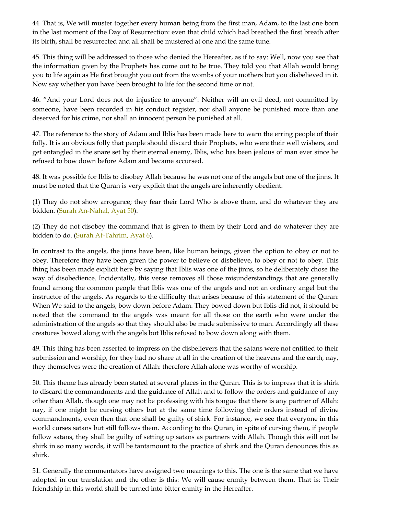44. That is, We will muster together every human being from the first man, Adam, to the last one born in the last moment of the Day of Resurrection: even that child which had breathed the first breath after its birth, shall be resurrected and all shall be mustered at one and the same tune.

45. This thing will be addressed to those who denied the Hereafter, as if to say: Well, now you see that the information given by the Prophets has come out to be true. They told you that Allah would bring you to life again as He first brought you out from the wombs of your mothers but you disbelieved in it. Now say whether you have been brought to life for the second time or not.

46. "And your Lord does not do injustice to anyone": Neither will an evil deed, not committed by someone, have been recorded in his conduct register, nor shall anyone be punished more than one deserved for his crime, nor shall an innocent person be punished at all.

47. The reference to the story of Adam and Iblis has been made here to warn the erring people of their folly. It is an obvious folly that people should discard their Prophets, who were their well wishers, and get entangled in the snare set by their eternal enemy, Iblis, who has been jealous of man ever since he refused to bow down before Adam and became accursed.

48. It was possible for Iblis to disobey Allah because he was not one of the angels but one of the jinns. It must be noted that the Quran is very explicit that the angels are inherently obedient.

(1) They do not show arrogance; they fear their Lord Who is above them, and do whatever they are bidden. (Surah [An-Nahal,](http://islamicstudies.info/reference.php?sura=16&verse=50) Ayat 50).

(2) They do not disobey the command that is given to them by their Lord and do whatever they are bidden to do. (Surah [At-Tahrim,](http://islamicstudies.info/reference.php?sura=66&verse=6) Ayat 6).

In contrast to the angels, the jinns have been, like human beings, given the option to obey or not to obey. Therefore they have been given the power to believe or disbelieve, to obey or not to obey. This thing has been made explicit here by saying that Iblis was one of the jinns, so he deliberately chose the way of disobedience. Incidentally, this verse removes all those misunderstandings that are generally found among the common people that Iblis was one of the angels and not an ordinary angel but the instructor of the angels. As regards to the difficulty that arises because of this statement of the Quran: When We said to the angels, bow down before Adam. They bowed down but Iblis did not, it should be noted that the command to the angels was meant for all those on the earth who were under the administration of the angels so that they should also be made submissive to man. Accordingly all these creatures bowed along with the angels but Iblis refused to bow down along with them.

49. This thing has been asserted to impress on the disbelievers that the satans were not entitled to their submission and worship, for they had no share at all in the creation of the heavens and the earth, nay, they themselves were the creation of Allah: therefore Allah alone was worthy of worship.

50. This theme has already been stated at several places in the Quran. This is to impress that it is shirk to discard the commandments and the guidance of Allah and to follow the orders and guidance of any other than Allah, though one may not be professing with his tongue that there is any partner of Allah: nay, if one might be cursing others but at the same time following their orders instead of divine commandments, even then that one shall be guilty of shirk. For instance, we see that everyone in this world curses satans but still follows them. According to the Quran, in spite of cursing them, if people follow satans, they shall be guilty of setting up satans as partners with Allah. Though this will not be shirk in so many words, it will be tantamount to the practice of shirk and the Quran denounces this as shirk.

51. Generally the commentators have assigned two meanings to this. The one is the same that we have adopted in our translation and the other is this: We will cause enmity between them. That is: Their friendship in this world shall be turned into bitter enmity in the Hereafter.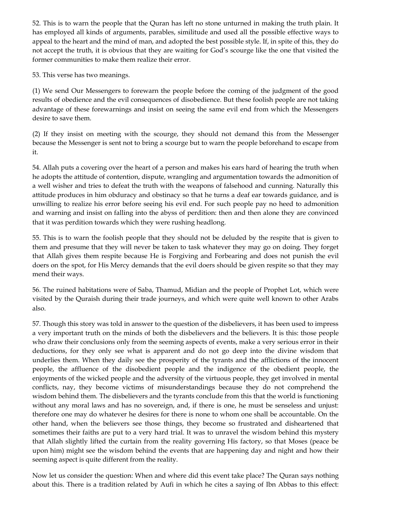52. This is to warn the people that the Quran has left no stone unturned in making the truth plain. It has employed all kinds of arguments, parables, similitude and used all the possible effective ways to appeal to the heart and the mind of man, and adopted the best possible style. If, in spite of this, they do not accept the truth, it is obvious that they are waiting for God's scourge like the one that visited the former communities to make them realize their error.

53. This verse has two meanings.

(1) We send Our Messengers to forewarn the people before the coming of the judgment of the good results of obedience and the evil consequences of disobedience. But these foolish people are not taking advantage of these forewarnings and insist on seeing the same evil end from which the Messengers desire to save them.

(2) If they insist on meeting with the scourge, they should not demand this from the Messenger because the Messenger is sent not to bring a scourge but to warn the people beforehand to escape from it.

54. Allah puts a covering over the heart of a person and makes his ears hard of hearing the truth when he adopts the attitude of contention, dispute, wrangling and argumentation towards the admonition of a well wisher and tries to defeat the truth with the weapons of falsehood and cunning. Naturally this attitude produces in him obduracy and obstinacy so that he turns a deaf ear towards guidance, and is unwilling to realize his error before seeing his evil end. For such people pay no heed to admonition and warning and insist on falling into the abyss of perdition: then and then alone they are convinced that it was perdition towards which they were rushing headlong.

55. This is to warn the foolish people that they should not be deluded by the respite that is given to them and presume that they will never be taken to task whatever they may go on doing. They forget that Allah gives them respite because He is Forgiving and Forbearing and does not punish the evil doers on the spot, for His Mercy demands that the evil doers should be given respite so that they may mend their ways.

56. The ruined habitations were of Saba, Thamud, Midian and the people of Prophet Lot, which were visited by the Quraish during their trade journeys, and which were quite well known to other Arabs also.

57. Though this story was told in answer to the question of the disbelievers, it has been used to impress a very important truth on the minds of both the disbelievers and the believers. It is this: those people who draw their conclusions only from the seeming aspects of events, make a very serious error in their deductions, for they only see what is apparent and do not go deep into the divine wisdom that underlies them. When they daily see the prosperity of the tyrants and the afflictions of the innocent people, the affluence of the disobedient people and the indigence of the obedient people, the enjoyments of the wicked people and the adversity of the virtuous people, they get involved in mental conflicts, nay, they become victims of misunderstandings because they do not comprehend the wisdom behind them. The disbelievers and the tyrants conclude from this that the world is functioning without any moral laws and has no sovereign, and, if there is one, he must be senseless and unjust: therefore one may do whatever he desires for there is none to whom one shall be accountable. On the other hand, when the believers see those things, they become so frustrated and disheartened that sometimes their faiths are put to a very hard trial. It was to unravel the wisdom behind this mystery that Allah slightly lifted the curtain from the reality governing His factory, so that Moses (peace be upon him) might see the wisdom behind the events that are happening day and night and how their seeming aspect is quite different from the reality.

Now let us consider the question: When and where did this event take place? The Quran says nothing about this. There is a tradition related by Aufi in which he cites a saying of Ibn Abbas to this effect: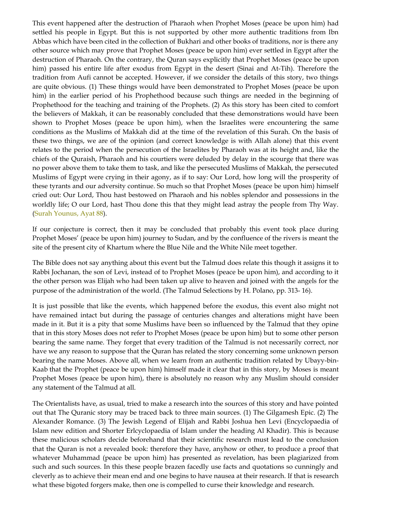This event happened after the destruction of Pharaoh when Prophet Moses (peace be upon him) had settled his people in Egypt. But this is not supported by other more authentic traditions from Ibn Abbas which have been cited in the collection of Bukhari and other books of traditions, nor is there any other source which may prove that Prophet Moses (peace be upon him) ever settled in Egypt after the destruction of Pharaoh. On the contrary, the Quran says explicitly that Prophet Moses (peace be upon him) passed his entire life after exodus from Egypt in the desert (Sinai and At-Tih). Therefore the tradition from Aufi cannot be accepted. However, if we consider the details of this story, two things are quite obvious. (1) These things would have been demonstrated to Prophet Moses (peace be upon him) in the earlier period of his Prophethood because such things are needed in the beginning of Prophethood for the teaching and training of the Prophets. (2) As this story has been cited to comfort the believers of Makkah, it can be reasonably concluded that these demonstrations would have been shown to Prophet Moses (peace be upon him), when the Israelites were encountering the same conditions as the Muslims of Makkah did at the time of the revelation of this Surah. On the basis of these two things, we are of the opinion (and correct knowledge is with Allah alone) that this event relates to the period when the persecution of the Israelites by Pharaoh was at its height and, like the chiefs of the Quraish, Pharaoh and his courtiers were deluded by delay in the scourge that there was no power above them to take them to task, and like the persecuted Muslims of Makkah, the persecuted Muslims of Egypt were crying in their agony, as if to say: Our Lord, how long will the prosperity of these tyrants and our adversity continue. So much so that Prophet Moses (peace be upon him) himself cried out: Our Lord, Thou hast bestowed on Pharaoh and his nobles splendor and possessions in the worldly life; O our Lord, hast Thou done this that they might lead astray the people from Thy Way. (Surah [Younus,](http://islamicstudies.info/reference.php?sura=10&verse=88) Ayat 88).

If our conjecture is correct, then it may be concluded that probably this event took place during Prophet Moses' (peace be upon him) journey to Sudan, and by the confluence of the rivers is meant the site of the present city of Khartum where the Blue Nile and the White Nile meet together.

The Bible does not say anything about this event but the Talmud does relate this though it assigns it to Rabbi Jochanan, the son of Levi, instead of to Prophet Moses (peace be upon him), and according to it the other person was Elijah who had been taken up alive to heaven and joined with the angels for the purpose of the administration of the world. (The Talmud Selections by H. Polano, pp. 313- 16).

It is just possible that like the events, which happened before the exodus, this event also might not have remained intact but during the passage of centuries changes and alterations might have been made in it. But it is a pity that some Muslims have been so influenced by the Talmud that they opine that in this story Moses does not refer to Prophet Moses (peace be upon him) but to some other person bearing the same name. They forget that every tradition of the Talmud is not necessarily correct, nor have we any reason to suppose that the Quran has related the story concerning some unknown person bearing the name Moses. Above all, when we learn from an authentic tradition related by Ubayy-bin-Kaab that the Prophet (peace be upon him) himself made it clear that in this story, by Moses is meant Prophet Moses (peace be upon him), there is absolutely no reason why any Muslim should consider any statement of the Talmud at all.

The Orientalists have, as usual, tried to make a research into the sources of this story and have pointed out that The Quranic story may be traced back to three main sources. (1) The Gilgamesh Epic. (2) The Alexander Romance. (3) The Jewish Legend of Elijah and Rabbi Joshua hen Levi (Encyclopaedia of Islam new edition and Shorter Erlcyclopaedia of Islam under the heading Al Khadir). This is because these malicious scholars decide beforehand that their scientific research must lead to the conclusion that the Quran is not a revealed book: therefore they have, anyhow or other, to produce a proof that whatever Muhammad (peace be upon him) has presented as revelation, has been plagiarized from such and such sources. In this these people brazen facedly use facts and quotations so cunningly and cleverly as to achieve their mean end and one begins to have nausea at their research. If that is research what these bigoted forgers make, then one is compelled to curse their knowledge and research.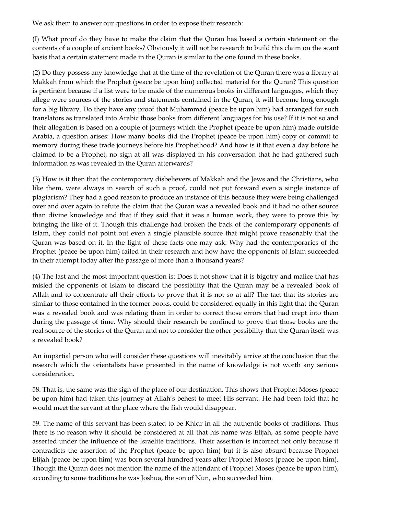We ask them to answer our questions in order to expose their research:

(I) What proof do they have to make the claim that the Quran has based a certain statement on the contents of a couple of ancient books? Obviously it will not be research to build this claim on the scant basis that a certain statement made in the Quran is similar to the one found in these books.

(2) Do they possess any knowledge that at the time of the revelation of the Quran there was a library at Makkah from which the Prophet (peace be upon him) collected material for the Quran? This question is pertinent because if a list were to be made of the numerous books in different languages, which they allege were sources of the stories and statements contained in the Quran, it will become long enough for a big library. Do they have any proof that Muhammad (peace be upon him) had arranged for such translators as translated into Arabic those books from different languages for his use? If it is not so and their allegation is based on a couple of journeys which the Prophet (peace be upon him) made outside Arabia, a question arises: How many books did the Prophet (peace be upon him) copy or commit to memory during these trade journeys before his Prophethood? And how is it that even a day before he claimed to be a Prophet, no sign at all was displayed in his conversation that he had gathered such information as was revealed in the Quran afterwards?

(3) How is it then that the contemporary disbelievers of Makkah and the Jews and the Christians, who like them, were always in search of such a proof, could not put forward even a single instance of plagiarism? They had a good reason to produce an instance of this because they were being challenged over and over again to refute the claim that the Quran was a revealed book and it had no other source than divine knowledge and that if they said that it was a human work, they were to prove this by bringing the like of it. Though this challenge had broken the back of the contemporary opponents of Islam, they could not point out even a single plausible source that might prove reasonably that the Quran was based on it. In the light of these facts one may ask: Why had the contemporaries of the Prophet (peace be upon him) failed in their research and how have the opponents of Islam succeeded in their attempt today after the passage of more than a thousand years?

(4) The last and the most important question is: Does it not show that it is bigotry and malice that has misled the opponents of Islam to discard the possibility that the Quran may be a revealed book of Allah and to concentrate all their efforts to prove that it is not so at all? The tact that its stories are similar to those contained in the former books, could be considered equally in this light that the Quran was a revealed book and was relating them in order to correct those errors that had crept into them during the passage of time. Why should their research be confined to prove that those books are the real source of the stories of the Quran and not to consider the other possibility that the Quran itself was a revealed book?

An impartial person who will consider these questions will inevitably arrive at the conclusion that the research which the orientalists have presented in the name of knowledge is not worth any serious consideration.

58. That is, the same was the sign of the place of our destination. This shows that Prophet Moses (peace be upon him) had taken this journey at Allah's behest to meet His servant. He had been told that he would meet the servant at the place where the fish would disappear.

59. The name of this servant has been stated to be Khidr in all the authentic books of traditions. Thus there is no reason why it should be considered at all that his name was Elijah, as some people have asserted under the influence of the Israelite traditions. Their assertion is incorrect not only because it contradicts the assertion of the Prophet (peace be upon him) but it is also absurd because Prophet Elijah (peace be upon him) was born several hundred years after Prophet Moses (peace be upon him). Though the Quran does not mention the name of the attendant of Prophet Moses (peace be upon him), according to some traditions he was Joshua, the son of Nun, who succeeded him.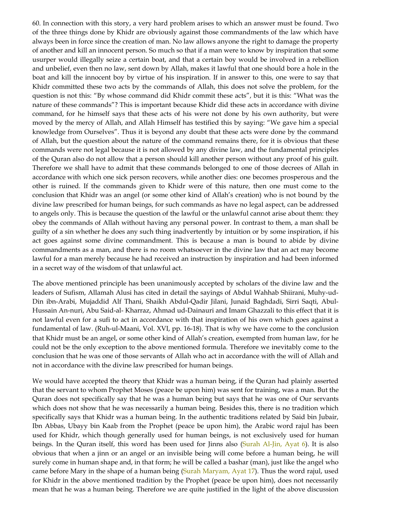60. In connection with this story, a very hard problem arises to which an answer must be found. Two of the three things done by Khidr are obviously against those commandments of the law which have always been in force since the creation of man. No law allows anyone the right to damage the property of another and kill an innocent person. So much so that if a man were to know by inspiration that some usurper would illegally seize a certain boat, and that a certain boy would be involved in a rebellion and unbelief, even then no law, sent down by Allah, makes it lawful that one should bore a hole in the boat and kill the innocent boy by virtue of his inspiration. If in answer to this, one were to say that Khidr committed these two acts by the commands of Allah, this does not solve the problem, for the question is not this: "By whose command did Khidr commit these acts", but it is this: "What was the nature of these commands"? This is important because Khidr did these acts in accordance with divine command, for he himself says that these acts of his were not done by his own authority, but were moved by the mercy of Allah, and Allah Himself has testified this by saying: "We gave him a special knowledge from Ourselves". Thus it is beyond any doubt that these acts were done by the command of Allah, but the question about the nature of the command remains there, for it is obvious that these commands were not legal because it is not allowed by any divine law, and the fundamental principles of the Quran also do not allow that a person should kill another person without any proof of his guilt. Therefore we shall have to admit that these commands belonged to one of those decrees of Allah in accordance with which one sick person recovers, while another dies: one becomes prosperous and the other is ruined. If the commands given to Khidr were of this nature, then one must come to the conclusion that Khidr was an angel (or some other kind of Allah's creation) who is not bound by the divine law prescribed for human beings, for such commands as have no legal aspect, can be addressed to angels only. This is because the question of the lawful or the unlawful cannot arise about them: they obey the commands of Allah without having any personal power. In contrast to them, a man shall be guilty of a sin whether he does any such thing inadvertently by intuition or by some inspiration, if his act goes against some divine commandment. This is because a man is bound to abide by divine commandments as a man, and there is no room whatsoever in the divine law that an act may become lawful for a man merely because he had received an instruction by inspiration and had been informed in a secret way of the wisdom of that unlawful act.

The above mentioned principle has been unanimously accepted by scholars of the divine law and the leaders of Sufism, Allamah Alusi has cited in detail the sayings of Abdul Wahhab Shiirani, Muhy-ud-Din ibn-Arabi, Mujaddid Alf Thani, Shaikh Abdul-Qadir Jilani, Junaid Baghdadi, Sirri Saqti, Abul-Hussain An-nuri, Abu Said-al- Kharraz, Ahmad ud-Dainauri and Imam Ghazzali to this effect that it is not lawful even for a sufi to act in accordance with that inspiration of his own which goes against a fundamental of law. (Ruh-ul-Maani, Vol. XVI, pp. 16-18). That is why we have come to the conclusion that Khidr must be an angel, or some other kind of Allah's creation, exempted from human law, for he could not be the only exception to the above mentioned formula. Therefore we inevitably come to the conclusion that he was one of those servants of Allah who act in accordance with the will of Allah and not in accordance with the divine law prescribed for human beings.

We would have accepted the theory that Khidr was a human being, if the Quran had plainly asserted that the servant to whom Prophet Moses (peace be upon him) was sent for training, was a man. But the Quran does not specifically say that he was a human being but says that he was one of Our servants which does not show that he was necessarily a human being. Besides this, there is no tradition which specifically says that Khidr was a human being. In the authentic traditions related by Said bin Jubair, Ibn Abbas, Ubayy bin Kaab from the Prophet (peace be upon him), the Arabic word rajul has been used for Khidr, which though generally used for human beings, is not exclusively used for human beings. In the Quran itself, this word has been used for Jinns also (Surah [Al-Jin,](http://islamicstudies.info/reference.php?sura=72&verse=6) Ayat 6). It is also obvious that when a jinn or an angel or an invisible being will come before a human being, he will surely come in human shape and, in that form; he will be called a bashar (man), just like the angel who came before Mary in the shape of a human being (Surah [Maryam,](http://islamicstudies.info/reference.php?sura=19&verse=17) Ayat 17). Thus the word rajul, used for Khidr in the above mentioned tradition by the Prophet (peace be upon him), does not necessarily mean that he was a human being. Therefore we are quite justified in the light of the above discussion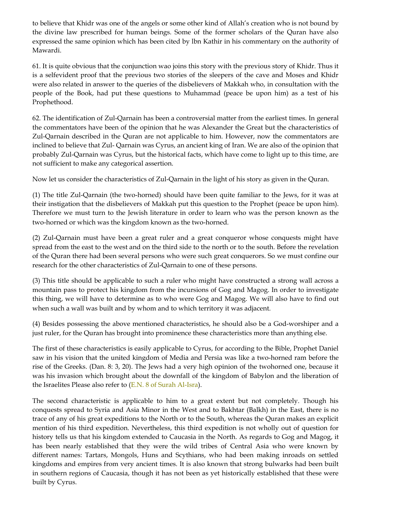to believe that Khidr was one of the angels or some other kind of Allah's creation who is not bound by the divine law prescribed for human beings. Some of the former scholars of the Quran have also expressed the same opinion which has been cited by lbn Kathir in his commentary on the authority of Mawardi.

61. It is quite obvious that the conjunction wao joins this story with the previous story of Khidr. Thus it is a selfevident proof that the previous two stories of the sleepers of the cave and Moses and Khidr were also related in answer to the queries of the disbelievers of Makkah who, in consultation with the people of the Book, had put these questions to Muhammad (peace be upon him) as a test of his Prophethood.

62. The identification of Zul-Qarnain has been a controversial matter from the earliest times. In general the commentators have been of the opinion that he was Alexander the Great but the characteristics of Zul-Qarnain described in the Quran are not applicable to him. However, now the commentators are inclined to believe that Zul- Qarnain was Cyrus, an ancient king of Iran. We are also of the opinion that probably Zul-Qarnain was Cyrus, but the historical facts, which have come to light up to this time, are not sufficient to make any categorical assertion.

Now let us consider the characteristics of Zul-Qarnain in the light of his story as given in the Quran.

(1) The title Zul-Qarnain (the two-horned) should have been quite familiar to the Jews, for it was at their instigation that the disbelievers of Makkah put this question to the Prophet (peace be upon him). Therefore we must turn to the Jewish literature in order to learn who was the person known as the two-horned or which was the kingdom known as the two-horned.

(2) Zul-Qarnain must have been a great ruler and a great conqueror whose conquests might have spread from the east to the west and on the third side to the north or to the south. Before the revelation of the Quran there had been several persons who were such great conquerors. So we must confine our research for the other characteristics of Zul-Qarnain to one of these persons.

(3) This title should be applicable to such a ruler who might have constructed a strong wall across a mountain pass to protect his kingdom from the incursions of Gog and Magog. In order to investigate this thing, we will have to determine as to who were Gog and Magog. We will also have to find out when such a wall was built and by whom and to which territory it was adjacent.

(4) Besides possessing the above mentioned characteristics, he should also be a God-worshiper and a just ruler, for the Quran has brought into prominence these characteristics more than anything else.

The first of these characteristics is easily applicable to Cyrus, for according to the Bible, Prophet Daniel saw in his vision that the united kingdom of Media and Persia was like a two-horned ram before the rise of the Greeks. (Dan. 8: 3, 20). The Jews had a very high opinion of the twohorned one, because it was his invasion which brought about the downfall of the kingdom of Babylon and the liberation of the Israelites Please also refer to  $(E.N. 8 of Surah Al-Isra)$  $(E.N. 8 of Surah Al-Isra)$ .

The second characteristic is applicable to him to a great extent but not completely. Though his conquests spread to Syria and Asia Minor in the West and to Bakhtar (Balkh) in the East, there is no trace of any of his great expeditions to the North or to the South, whereas the Quran makes an explicit mention of his third expedition. Nevertheless, this third expedition is not wholly out of question for history tells us that his kingdom extended to Caucasia in the North. As regards to Gog and Magog, it has been nearly established that they were the wild tribes of Central Asia who were known by different names: Tartars, Mongols, Huns and Scythians, who had been making inroads on settled kingdoms and empires from very ancient times. It is also known that strong bulwarks had been built in southern regions of Caucasia, though it has not been as yet historically established that these were built by Cyrus.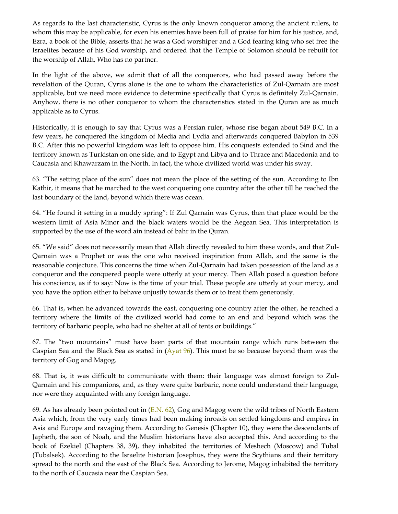As regards to the last characteristic, Cyrus is the only known conqueror among the ancient rulers, to whom this may be applicable, for even his enemies have been full of praise for him for his justice, and, Ezra, a book of the Bible, asserts that he was a God worshiper and a God fearing king who set free the Israelites because of his God worship, and ordered that the Temple of Solomon should be rebuilt for the worship of Allah, Who has no partner.

In the light of the above, we admit that of all the conquerors, who had passed away before the revelation of the Quran, Cyrus alone is the one to whom the characteristics of Zul-Qarnain are most applicable, but we need more evidence to determine specifically that Cyrus is definitely Zul-Qarnain. Anyhow, there is no other conqueror to whom the characteristics stated in the Quran are as much applicable as to Cyrus.

Historically, it is enough to say that Cyrus was a Persian ruler, whose rise began about 549 B.C. In a few years, he conquered the kingdom of Media and Lydia and afterwards conquered Babylon in 539 B.C. After this no powerful kingdom was left to oppose him. His conquests extended to Sind and the territory known as Turkistan on one side, and to Egypt and Libya and to Thrace and Macedonia and to Caucasia and Khawarzam in the North. In fact, the whole civilized world was under his sway.

63. "The setting place of the sun" does not mean the place of the setting of the sun. According to Ibn Kathir, it means that he marched to the west conquering one country after the other till he reached the last boundary of the land, beyond which there was ocean.

64. "He found it setting in a muddy spring": If Zul Qarnain was Cyrus, then that place would be the western limit of Asia Minor and the black waters would be the Aegean Sea. This interpretation is supported by the use of the word ain instead of bahr in the Quran.

65. "We said" does not necessarily mean that Allah directly revealed to him these words, and that Zul-Qarnain was a Prophet or was the one who received inspiration from Allah, and the same is the reasonable conjecture. This concerns the time when Zul-Qarnain had taken possession of the land as a conqueror and the conquered people were utterly at your mercy. Then Allah posed a question before his conscience, as if to say: Now is the time of your trial. These people are utterly at your mercy, and you have the option either to behave unjustly towards them or to treat them generously.

66. That is, when he advanced towards the east, conquering one country after the other, he reached a territory where the limits of the civilized world had come to an end and beyond which was the territory of barbaric people, who had no shelter at all of tents or buildings."

67. The "two mountains" must have been parts of that mountain range which runs between the Caspian Sea and the Black Sea as stated in  $(Ayat 96)$  $(Ayat 96)$  $(Ayat 96)$ . This must be so because beyond them was the territory of Gog and Magog.

68. That is, it was difficult to communicate with them: their language was almost foreign to Zul-Qarnain and his companions, and, as they were quite barbaric, none could understand their language, nor were they acquainted with any foreign language.

69. As has already been pointed out in  $(E.N. 62)$  $(E.N. 62)$ , Gog and Magog were the wild tribes of North Eastern Asia which, from the very early times had been making inroads on settled kingdoms and empires in Asia and Europe and ravaging them. According to Genesis (Chapter 10), they were the descendants of Japheth, the son of Noah, and the Muslim historians have also accepted this. And according to the book of Ezekiel (Chapters 38, 39), they inhabited the territories of Meshech (Moscow) and Tubal (Tubalsek). According to the Israelite historian Josephus, they were the Scythians and their territory spread to the north and the east of the Black Sea. According to Jerome, Magog inhabited the territory to the north of Caucasia near the Caspian Sea.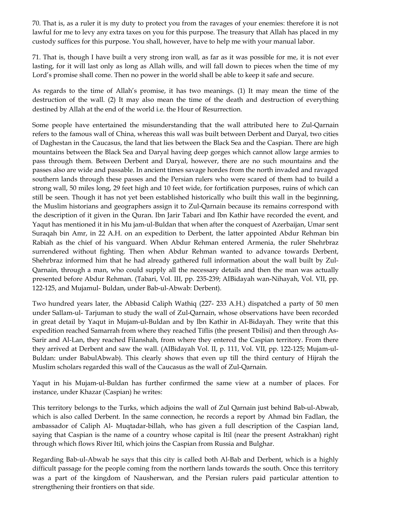70. That is, as a ruler it is my duty to protect you from the ravages of your enemies: therefore it is not lawful for me to levy any extra taxes on you for this purpose. The treasury that Allah has placed in my custody suffices for this purpose. You shall, however, have to help me with your manual labor.

71. That is, though I have built a very strong iron wall, as far as it was possible for me, it is not ever lasting, for it will last only as long as Allah wills, and will fall down to pieces when the time of my Lord's promise shall come. Then no power in the world shall be able to keep it safe and secure.

As regards to the time of Allah's promise, it has two meanings. (1) It may mean the time of the destruction of the wall. (2) It may also mean the time of the death and destruction of everything destined by Allah at the end of the world i.e. the Hour of Resurrection.

Some people have entertained the misunderstanding that the wall attributed here to Zul-Qarnain refers to the famous wall of China, whereas this wall was built between Derbent and Daryal, two cities of Daghestan in the Caucasus, the land that lies between the Black Sea and the Caspian. There are high mountains between the Black Sea and Daryal having deep gorges which cannot allow large armies to pass through them. Between Derbent and Daryal, however, there are no such mountains and the passes also are wide and passable. In ancient times savage hordes from the north invaded and ravaged southern lands through these passes and the Persian rulers who were scared of them had to build a strong wall, 50 miles long, 29 feet high and 10 feet wide, for fortification purposes, ruins of which can still be seen. Though it has not yet been established historically who built this wall in the beginning, the Muslim historians and geographers assign it to Zul-Qarnain because its remains correspond with the description of it given in the Quran. Ibn Jarir Tabari and Ibn Kathir have recorded the event, and Yaqut has mentioned it in his Mu jam-ul-Buldan that when after the conquest of Azerbaijan, Umar sent Suraqah bin Amr, in 22 A.H. on an expedition to Derbent, the latter appointed Abdur Rehman bin Rabiah as the chief of his vanguard. When Abdur Rehman entered Armenia, the ruler Shehrbraz surrendered without fighting. Then when Abdur Rehman wanted to advance towards Derbent, Shehrbraz informed him that he had already gathered full information about the wall built by Zul-Qarnain, through a man, who could supply all the necessary details and then the man was actually presented before Abdur Rehman. (Tabari, Vol. III, pp. 235-239; AIBidayah wan-Nihayah, Vol. VII, pp. 122-125, and Mujamul- Buldan, under Bab-ul-Abwab: Derbent).

Two hundred years later, the Abbasid Caliph Wathiq (227- 233 A.H.) dispatched a party of 50 men under Sallam-ul- Tarjuman to study the wall of Zul-Qarnain, whose observations have been recorded in great detail by Yaqut in Mujam-ul-Buldan and by Ibn Kathir in AI-Bidayah. They write that this expedition reached Samarrah from where they reached Tiflis (the present Tbilisi) and then through As-Sarir and Al-Lan, they reached Filanshah, from where they entered the Caspian territory. From there they arrived at Derbent and saw the wall. (AIBidayah Vol. II, p. 111, Vol. VII, pp. 122-125; Mujam-ul-Buldan: under BabulAbwab). This clearly shows that even up till the third century of Hijrah the Muslim scholars regarded this wall of the Caucasus as the wall of Zul-Qarnain.

Yaqut in his Mujam-ul-Buldan has further confirmed the same view at a number of places. For instance, under Khazar (Caspian) he writes:

This territory belongs to the Turks, which adjoins the wall of Zul Qarnain just behind Bab-ul-Abwab, which is also called Derbent. In the same connection, he records a report by Ahmad bin Fadlan, the ambassador of Caliph Al- Muqtadar-billah, who has given a full description of the Caspian land, saying that Caspian is the name of a country whose capital is Itil (near the present Astrakhan) right through which flows River Itil, which joins the Caspian from Russia and Bulghar.

Regarding Bab-ul-Abwab he says that this city is called both Al-Bab and Derbent, which is a highly difficult passage for the people coming from the northern lands towards the south. Once this territory was a part of the kingdom of Nausherwan, and the Persian rulers paid particular attention to strengthening their frontiers on that side.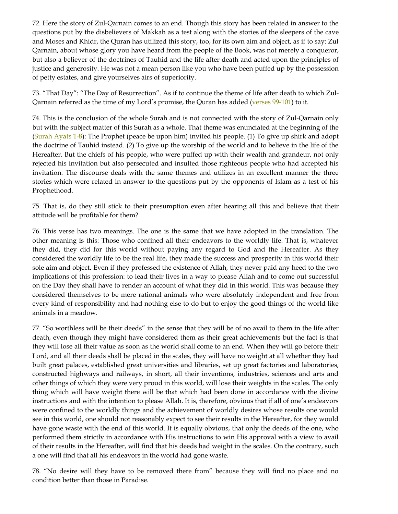72. Here the story of Zul-Qarnain comes to an end. Though this story has been related in answer to the questions put by the disbelievers of Makkah as a test along with the stories of the sleepers of the cave and Moses and Khidr, the Quran has utilized this story, too, for its own aim and object, as if to say: Zul Qarnain, about whose glory you have heard from the people of the Book, was not merely a conqueror, but also a believer of the doctrines of Tauhid and the life after death and acted upon the principles of justice and generosity. He was not a mean person like you who have been puffed up by the possession of petty estates, and give yourselves airs of superiority.

73. "That Day": "The Day of Resurrection". As if to continue the theme of life after death to which Zul-Qarnain referred as the time of my Lord's promise, the Quran has added (verses [99-101\)](http://islamicstudies.info/reference.php?sura=18&verse=99&to=101) to it.

74. This is the conclusion of the whole Surah and is not connected with the story of Zul-Qarnain only but with the subject matter of this Surah as a whole. That theme was enunciated at the beginning of the [\(Surah](http://islamicstudies.info/reference.php?sura=18&verse=1&to=8) Ayats 1-8): The Prophet (peace be upon him) invited his people. (1) To give up shirk and adopt the doctrine of Tauhid instead. (2) To give up the worship of the world and to believe in the life of the Hereafter. But the chiefs of his people, who were puffed up with their wealth and grandeur, not only rejected his invitation but also persecuted and insulted those righteous people who had accepted his invitation. The discourse deals with the same themes and utilizes in an excellent manner the three stories which were related in answer to the questions put by the opponents of Islam as a test of his Prophethood.

75. That is, do they still stick to their presumption even after hearing all this and believe that their attitude will be profitable for them?

76. This verse has two meanings. The one is the same that we have adopted in the translation. The other meaning is this: Those who confined all their endeavors to the worldly life. That is, whatever they did, they did for this world without paying any regard to God and the Hereafter. As they considered the worldly life to be the real life, they made the success and prosperity in this world their sole aim and object. Even if they professed the existence of Allah, they never paid any heed to the two implications of this profession: to lead their lives in a way to please Allah and to come out successful on the Day they shall have to render an account of what they did in this world. This was because they considered themselves to be mere rational animals who were absolutely independent and free from every kind of responsibility and had nothing else to do but to enjoy the good things of the world like animals in a meadow.

77. "So worthless will be their deeds" in the sense that they will be of no avail to them in the life after death, even though they might have considered them as their great achievements but the fact is that they will lose all their value as soon as the world shall come to an end. When they will go before their Lord, and all their deeds shall be placed in the scales, they will have no weight at all whether they had built great palaces, established great universities and libraries, set up great factories and laboratories, constructed highways and railways, in short, all their inventions, industries, sciences and arts and other things of which they were very proud in this world, will lose their weights in the scales. The only thing which will have weight there will be that which had been done in accordance with the divine instructions and with the intention to please Allah. It is, therefore, obvious that if all of one's endeavors were confined to the worldly things and the achievement of worldly desires whose results one would see in this world, one should not reasonably expect to see their results in the Hereafter, for they would have gone waste with the end of this world. It is equally obvious, that only the deeds of the one, who performed them strictly in accordance with His instructions to win His approval with a view to avail of their results in the Hereafter, will find that his deeds had weight in the scales. On the contrary, such a one will find that all his endeavors in the world had gone waste.

78. "No desire will they have to be removed there from" because they will find no place and no condition better than those in Paradise.